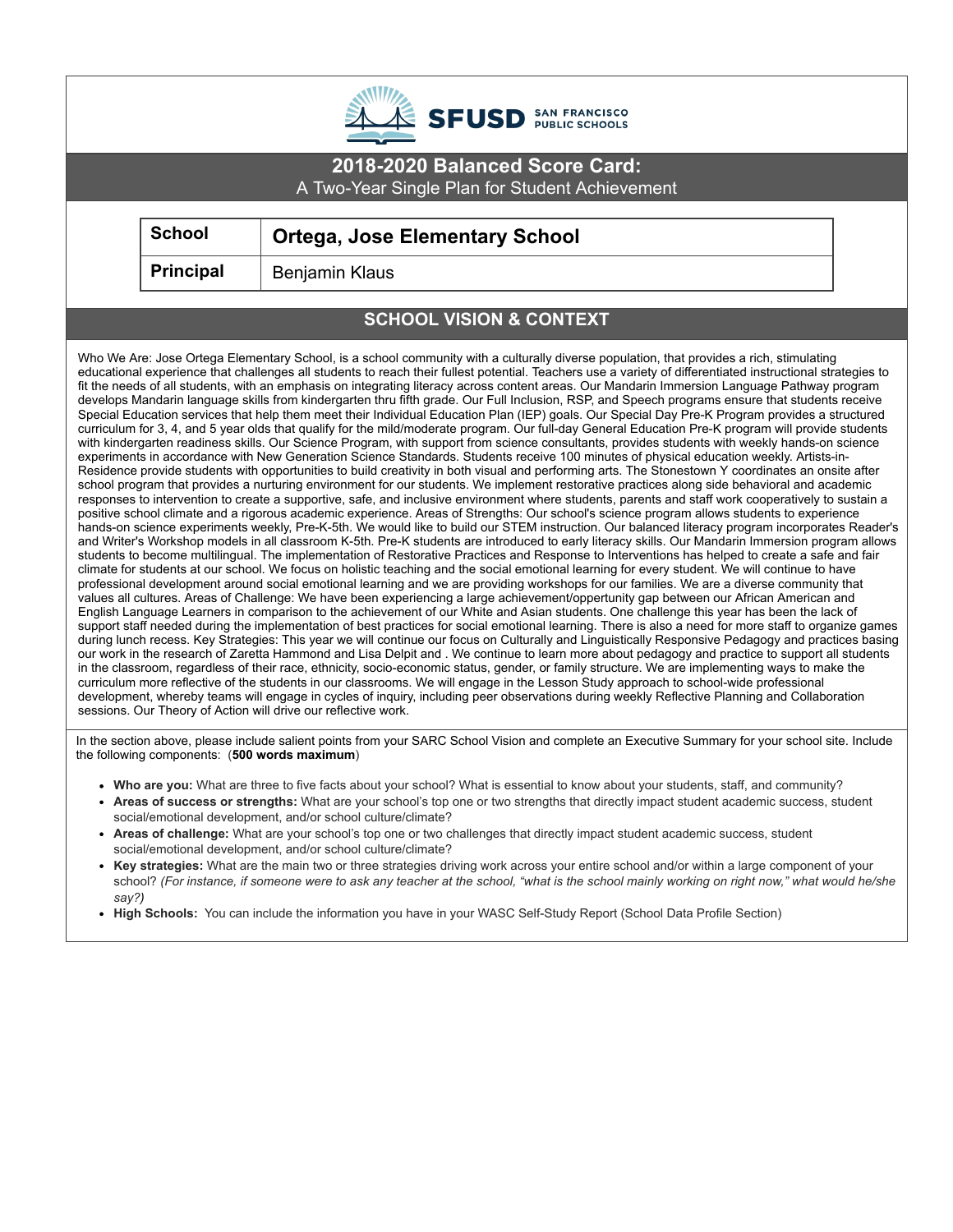| <b>SFUSD</b> SAN FRANCISCO                                                                                                                                                                                                                                                                                                                                                                                                                                                                                                                                                                                                                                                                                                                                                                                                                                                                                                                                                                                                                                                                                                                                                                                                                                                                                                                                                                                                                                                                                                                                                                                                                                                                                                                                                                                                                                                                                                                                                                                                                                                                                                                                                                                                                                                                                                                                                                                                                                                                                                                                                                                                                                                                                                                                                                                                                                                                                                                                                                                                                                                                                                                                                                                                                                                                                                                                                                                                                                                                                                                                                                                                                                                                                                                                                                                                                                        |                  |                                       |  |  |
|-------------------------------------------------------------------------------------------------------------------------------------------------------------------------------------------------------------------------------------------------------------------------------------------------------------------------------------------------------------------------------------------------------------------------------------------------------------------------------------------------------------------------------------------------------------------------------------------------------------------------------------------------------------------------------------------------------------------------------------------------------------------------------------------------------------------------------------------------------------------------------------------------------------------------------------------------------------------------------------------------------------------------------------------------------------------------------------------------------------------------------------------------------------------------------------------------------------------------------------------------------------------------------------------------------------------------------------------------------------------------------------------------------------------------------------------------------------------------------------------------------------------------------------------------------------------------------------------------------------------------------------------------------------------------------------------------------------------------------------------------------------------------------------------------------------------------------------------------------------------------------------------------------------------------------------------------------------------------------------------------------------------------------------------------------------------------------------------------------------------------------------------------------------------------------------------------------------------------------------------------------------------------------------------------------------------------------------------------------------------------------------------------------------------------------------------------------------------------------------------------------------------------------------------------------------------------------------------------------------------------------------------------------------------------------------------------------------------------------------------------------------------------------------------------------------------------------------------------------------------------------------------------------------------------------------------------------------------------------------------------------------------------------------------------------------------------------------------------------------------------------------------------------------------------------------------------------------------------------------------------------------------------------------------------------------------------------------------------------------------------------------------------------------------------------------------------------------------------------------------------------------------------------------------------------------------------------------------------------------------------------------------------------------------------------------------------------------------------------------------------------------------------------------------------------------------------------------------------------------------|------------------|---------------------------------------|--|--|
| 2018-2020 Balanced Score Card:<br>A Two-Year Single Plan for Student Achievement                                                                                                                                                                                                                                                                                                                                                                                                                                                                                                                                                                                                                                                                                                                                                                                                                                                                                                                                                                                                                                                                                                                                                                                                                                                                                                                                                                                                                                                                                                                                                                                                                                                                                                                                                                                                                                                                                                                                                                                                                                                                                                                                                                                                                                                                                                                                                                                                                                                                                                                                                                                                                                                                                                                                                                                                                                                                                                                                                                                                                                                                                                                                                                                                                                                                                                                                                                                                                                                                                                                                                                                                                                                                                                                                                                                  |                  |                                       |  |  |
|                                                                                                                                                                                                                                                                                                                                                                                                                                                                                                                                                                                                                                                                                                                                                                                                                                                                                                                                                                                                                                                                                                                                                                                                                                                                                                                                                                                                                                                                                                                                                                                                                                                                                                                                                                                                                                                                                                                                                                                                                                                                                                                                                                                                                                                                                                                                                                                                                                                                                                                                                                                                                                                                                                                                                                                                                                                                                                                                                                                                                                                                                                                                                                                                                                                                                                                                                                                                                                                                                                                                                                                                                                                                                                                                                                                                                                                                   | <b>School</b>    | <b>Ortega, Jose Elementary School</b> |  |  |
|                                                                                                                                                                                                                                                                                                                                                                                                                                                                                                                                                                                                                                                                                                                                                                                                                                                                                                                                                                                                                                                                                                                                                                                                                                                                                                                                                                                                                                                                                                                                                                                                                                                                                                                                                                                                                                                                                                                                                                                                                                                                                                                                                                                                                                                                                                                                                                                                                                                                                                                                                                                                                                                                                                                                                                                                                                                                                                                                                                                                                                                                                                                                                                                                                                                                                                                                                                                                                                                                                                                                                                                                                                                                                                                                                                                                                                                                   | <b>Principal</b> | <b>Benjamin Klaus</b>                 |  |  |
|                                                                                                                                                                                                                                                                                                                                                                                                                                                                                                                                                                                                                                                                                                                                                                                                                                                                                                                                                                                                                                                                                                                                                                                                                                                                                                                                                                                                                                                                                                                                                                                                                                                                                                                                                                                                                                                                                                                                                                                                                                                                                                                                                                                                                                                                                                                                                                                                                                                                                                                                                                                                                                                                                                                                                                                                                                                                                                                                                                                                                                                                                                                                                                                                                                                                                                                                                                                                                                                                                                                                                                                                                                                                                                                                                                                                                                                                   |                  | <b>SCHOOL VISION &amp; CONTEXT</b>    |  |  |
| Who We Are: Jose Ortega Elementary School, is a school community with a culturally diverse population, that provides a rich, stimulating<br>educational experience that challenges all students to reach their fullest potential. Teachers use a variety of differentiated instructional strategies to<br>fit the needs of all students, with an emphasis on integrating literacy across content areas. Our Mandarin Immersion Language Pathway program<br>develops Mandarin language skills from kindergarten thru fifth grade. Our Full Inclusion, RSP, and Speech programs ensure that students receive<br>Special Education services that help them meet their Individual Education Plan (IEP) goals. Our Special Day Pre-K Program provides a structured<br>curriculum for 3, 4, and 5 year olds that qualify for the mild/moderate program. Our full-day General Education Pre-K program will provide students<br>with kindergarten readiness skills. Our Science Program, with support from science consultants, provides students with weekly hands-on science<br>experiments in accordance with New Generation Science Standards. Students receive 100 minutes of physical education weekly. Artists-in-<br>Residence provide students with opportunities to build creativity in both visual and performing arts. The Stonestown Y coordinates an onsite after<br>school program that provides a nurturing environment for our students. We implement restorative practices along side behavioral and academic<br>responses to intervention to create a supportive, safe, and inclusive environment where students, parents and staff work cooperatively to sustain a<br>positive school climate and a rigorous academic experience. Areas of Strengths: Our school's science program allows students to experience<br>hands-on science experiments weekly, Pre-K-5th. We would like to build our STEM instruction. Our balanced literacy program incorporates Reader's<br>and Writer's Workshop models in all classroom K-5th. Pre-K students are introduced to early literacy skills. Our Mandarin Immersion program allows<br>students to become multilingual. The implementation of Restorative Practices and Response to Interventions has helped to create a safe and fair<br>climate for students at our school. We focus on holistic teaching and the social emotional learning for every student. We will continue to have<br>professional development around social emotional learning and we are providing workshops for our families. We are a diverse community that<br>values all cultures. Areas of Challenge: We have been experiencing a large achievement/oppertunity gap between our African American and<br>English Language Learners in comparison to the achievement of our White and Asian students. One challenge this year has been the lack of<br>support staff needed during the implementation of best practices for social emotional learning. There is also a need for more staff to organize games<br>during lunch recess. Key Strategies: This year we will continue our focus on Culturally and Linguistically Responsive Pedagogy and practices basing<br>our work in the research of Zaretta Hammond and Lisa Delpit and. We continue to learn more about pedagogy and practice to support all students<br>in the classroom, regardless of their race, ethnicity, socio-economic status, gender, or family structure. We are implementing ways to make the<br>curriculum more reflective of the students in our classrooms. We will engage in the Lesson Study approach to school-wide professional<br>development, whereby teams will engage in cycles of inquiry, including peer observations during weekly Reflective Planning and Collaboration<br>sessions. Our Theory of Action will drive our reflective work. |                  |                                       |  |  |
| the following components: (500 words maximum)<br>• Who are you: What are three to five facts about your school? What is essential to know about your students, staff, and community?<br>• Areas of success or strengths: What are your school's top one or two strengths that directly impact student academic success, student<br>social/emotional development, and/or school culture/climate?<br>$\mathbf{r}$ and $\mathbf{r}$ and $\mathbf{r}$<br>the contract of the contract of the con-<br>$\mathbf{u}$ . The contract of the contract of the contract of the contract of the contract of the contract of the contract of the contract of the contract of the contract of the contract of the contract of the contract of th                                                                                                                                                                                                                                                                                                                                                                                                                                                                                                                                                                                                                                                                                                                                                                                                                                                                                                                                                                                                                                                                                                                                                                                                                                                                                                                                                                                                                                                                                                                                                                                                                                                                                                                                                                                                                                                                                                                                                                                                                                                                                                                                                                                                                                                                                                                                                                                                                                                                                                                                                                                                                                                                                                                                                                                                                                                                                                                                                                                                                                                                                                                                |                  |                                       |  |  |

- **Areas of challenge:** What are your school's top one or two challenges that directly impact student academic success, student social/emotional development, and/or school culture/climate?
- **Key strategies:** What are the main two or three strategies driving work across your entire school and/or within a large component of your school? (For instance, if someone were to ask any teacher at the school, "what is the school mainly working on right now," what would he/she *say?)*
- **High Schools:** You can include the information you have in your WASC Self-Study Report (School Data Profile Section)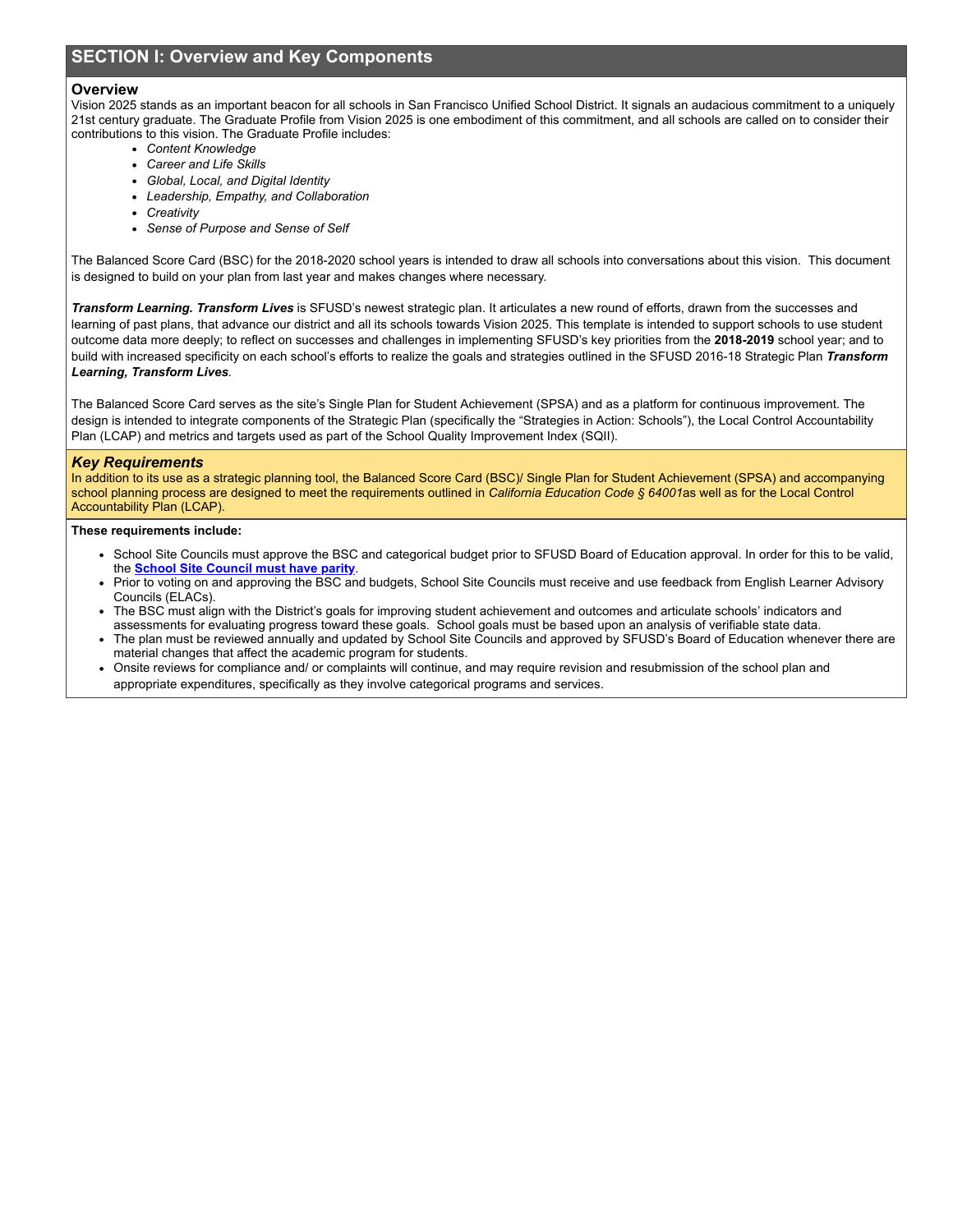# **SECTION I: Overview and Key Components**

### **Overview**

Vision 2025 stands as an important beacon for all schools in San Francisco Unified School District. It signals an audacious commitment to a uniquely 21st century graduate. The Graduate Profile from Vision 2025 is one embodiment of this commitment, and all schools are called on to consider their contributions to this vision. The Graduate Profile includes:

- *Content Knowledge*
- *Career and Life Skills*
- *Global, Local, and Digital Identity*
- *Leadership, Empathy, and Collaboration*
- *Creativity*
- *Sense of Purpose and Sense of Self*

The Balanced Score Card (BSC) for the 2018-2020 school years is intended to draw all schools into conversations about this vision. This document is designed to build on your plan from last year and makes changes where necessary.

*Transform Learning. Transform Lives* is SFUSD's newest strategic plan. It articulates a new round of efforts, drawn from the successes and learning of past plans, that advance our district and all its schools towards Vision 2025. This template is intended to support schools to use student outcome data more deeply; to reflect on successes and challenges in implementing SFUSD's key priorities from the **2018-2019** school year; and to build with increased specificity on each school's efforts to realize the goals and strategies outlined in the SFUSD 2016-18 Strategic Plan *Transform Learning, Transform Lives.*

The Balanced Score Card serves as the site's Single Plan for Student Achievement (SPSA) and as a platform for continuous improvement. The design is intended to integrate components of the Strategic Plan (specifically the "Strategies in Action: Schools"), the Local Control Accountability Plan (LCAP) and metrics and targets used as part of the School Quality Improvement Index (SQII).

### *Key Requirements*

In addition to its use as a strategic planning tool, the Balanced Score Card (BSC)/ Single Plan for Student Achievement (SPSA) and accompanying school planning process are designed to meet the requirements outlined in *California Education Code § 64001*as well as for the Local Control Accountability Plan (LCAP).

### **These requirements include:**

- School Site Councils must approve the BSC and categorical budget prior to SFUSD Board of Education approval. In order for this to be valid, the **School Site [Council](http://www.sfusdstateandfederal.org/school-site-council-ssc.html) must have parity**.
- Prior to voting on and approving the BSC and budgets, School Site Councils must receive and use feedback from English Learner Advisory Councils (ELACs).
- The BSC must align with the District's goals for improving student achievement and outcomes and articulate schools' indicators and assessments for evaluating progress toward these goals. School goals must be based upon an analysis of verifiable state data.
- The plan must be reviewed annually and updated by School Site Councils and approved by SFUSD's Board of Education whenever there are material changes that affect the academic program for students.
- Onsite reviews for compliance and/ or complaints will continue, and may require revision and resubmission of the school plan and appropriate expenditures, specifically as they involve categorical programs and services.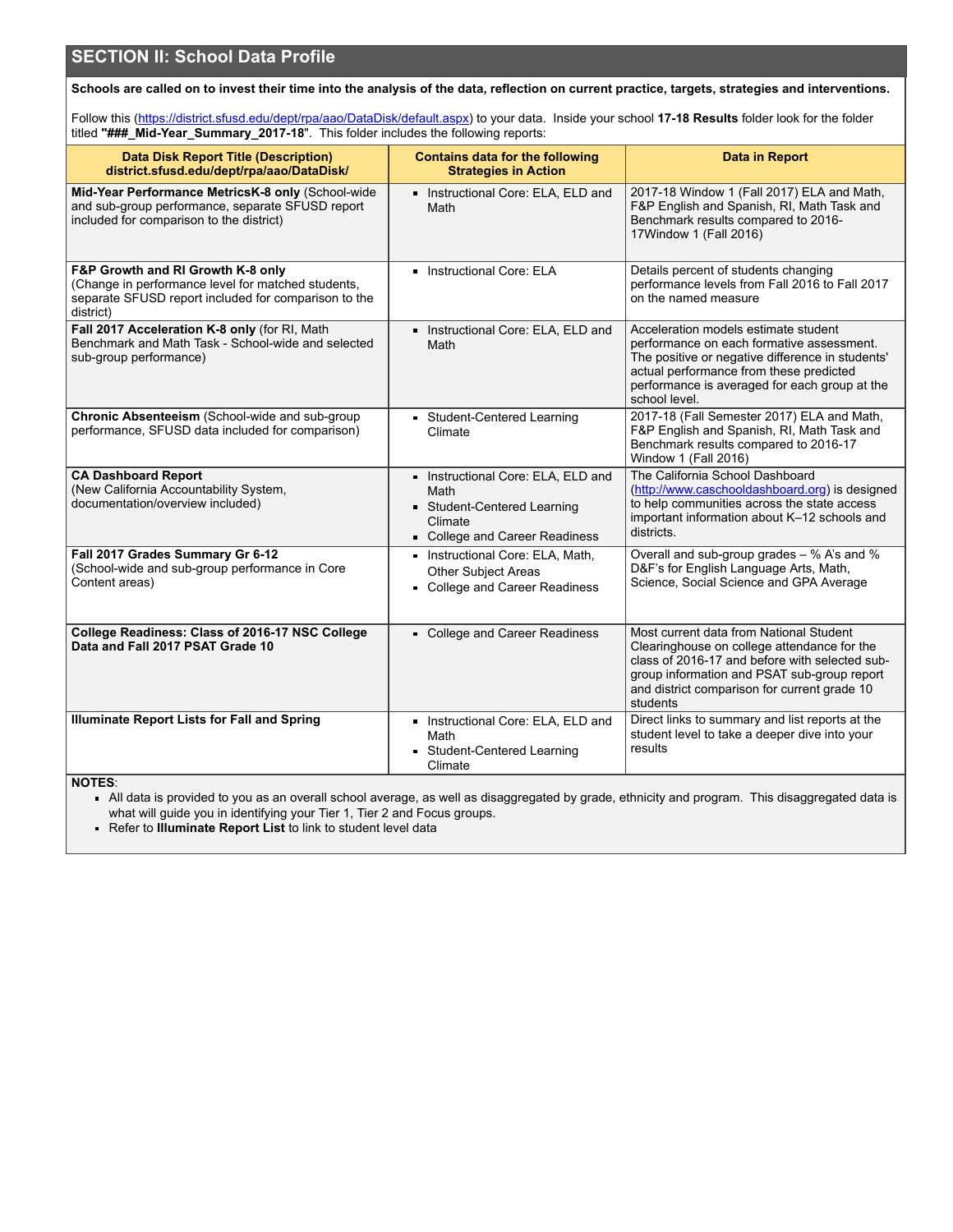# **SECTION II: School Data Profile**

Schools are called on to invest their time into the analysis of the data, reflection on current practice, targets, strategies and interventions.

Follow this (<https://district.sfusd.edu/dept/rpa/aao/DataDisk/default.aspx>) to your data. Inside your school **17-18 Results** folder look for the folder titled **"###\_Mid-Year\_Summary\_2017-18**". This folder includes the following reports:

| <b>Data Disk Report Title (Description)</b><br>district.sfusd.edu/dept/rpa/aao/DataDisk/                                                                     | <b>Contains data for the following</b><br><b>Strategies in Action</b>                                            | <b>Data in Report</b>                                                                                                                                                                                                                               |
|--------------------------------------------------------------------------------------------------------------------------------------------------------------|------------------------------------------------------------------------------------------------------------------|-----------------------------------------------------------------------------------------------------------------------------------------------------------------------------------------------------------------------------------------------------|
| Mid-Year Performance MetricsK-8 only (School-wide<br>and sub-group performance, separate SFUSD report<br>included for comparison to the district)            | Instructional Core: ELA, ELD and<br>Math                                                                         | 2017-18 Window 1 (Fall 2017) ELA and Math,<br>F&P English and Spanish, RI, Math Task and<br>Benchmark results compared to 2016-<br>17Window 1 (Fall 2016)                                                                                           |
| F&P Growth and RI Growth K-8 only<br>(Change in performance level for matched students,<br>separate SFUSD report included for comparison to the<br>district) | Instructional Core: ELA                                                                                          | Details percent of students changing<br>performance levels from Fall 2016 to Fall 2017<br>on the named measure                                                                                                                                      |
| Fall 2017 Acceleration K-8 only (for RI, Math<br>Benchmark and Math Task - School-wide and selected<br>sub-group performance)                                | Instructional Core: ELA, ELD and<br>Math                                                                         | Acceleration models estimate student<br>performance on each formative assessment.<br>The positive or negative difference in students'<br>actual performance from these predicted<br>performance is averaged for each group at the<br>school level.  |
| Chronic Absenteeism (School-wide and sub-group<br>performance, SFUSD data included for comparison)                                                           | Student-Centered Learning<br>Climate                                                                             | 2017-18 (Fall Semester 2017) ELA and Math,<br>F&P English and Spanish, RI, Math Task and<br>Benchmark results compared to 2016-17<br>Window 1 (Fall 2016)                                                                                           |
| <b>CA Dashboard Report</b><br>(New California Accountability System,<br>documentation/overview included)                                                     | Instructional Core: ELA, ELD and<br>Math<br>Student-Centered Learning<br>Climate<br>College and Career Readiness | The California School Dashboard<br>(http://www.caschooldashboard.org) is designed<br>to help communities across the state access<br>important information about K-12 schools and<br>districts.                                                      |
| Fall 2017 Grades Summary Gr 6-12<br>(School-wide and sub-group performance in Core<br>Content areas)                                                         | Instructional Core: ELA, Math,<br><b>Other Subject Areas</b><br>College and Career Readiness                     | Overall and sub-group grades - % A's and %<br>D&F's for English Language Arts, Math,<br>Science, Social Science and GPA Average                                                                                                                     |
| College Readiness: Class of 2016-17 NSC College<br>Data and Fall 2017 PSAT Grade 10                                                                          | College and Career Readiness                                                                                     | Most current data from National Student<br>Clearinghouse on college attendance for the<br>class of 2016-17 and before with selected sub-<br>group information and PSAT sub-group report<br>and district comparison for current grade 10<br>students |
| <b>Illuminate Report Lists for Fall and Spring</b>                                                                                                           | Instructional Core: ELA, ELD and<br>Math<br>Student-Centered Learning<br>Climate                                 | Direct links to summary and list reports at the<br>student level to take a deeper dive into your<br>results                                                                                                                                         |

**NOTES**:

All data is provided to you as an overall school average, as well as disaggregated by grade, ethnicity and program. This disaggregated data is what will guide you in identifying your Tier 1, Tier 2 and Focus groups.

Refer to **Illuminate Report List** to link to student level data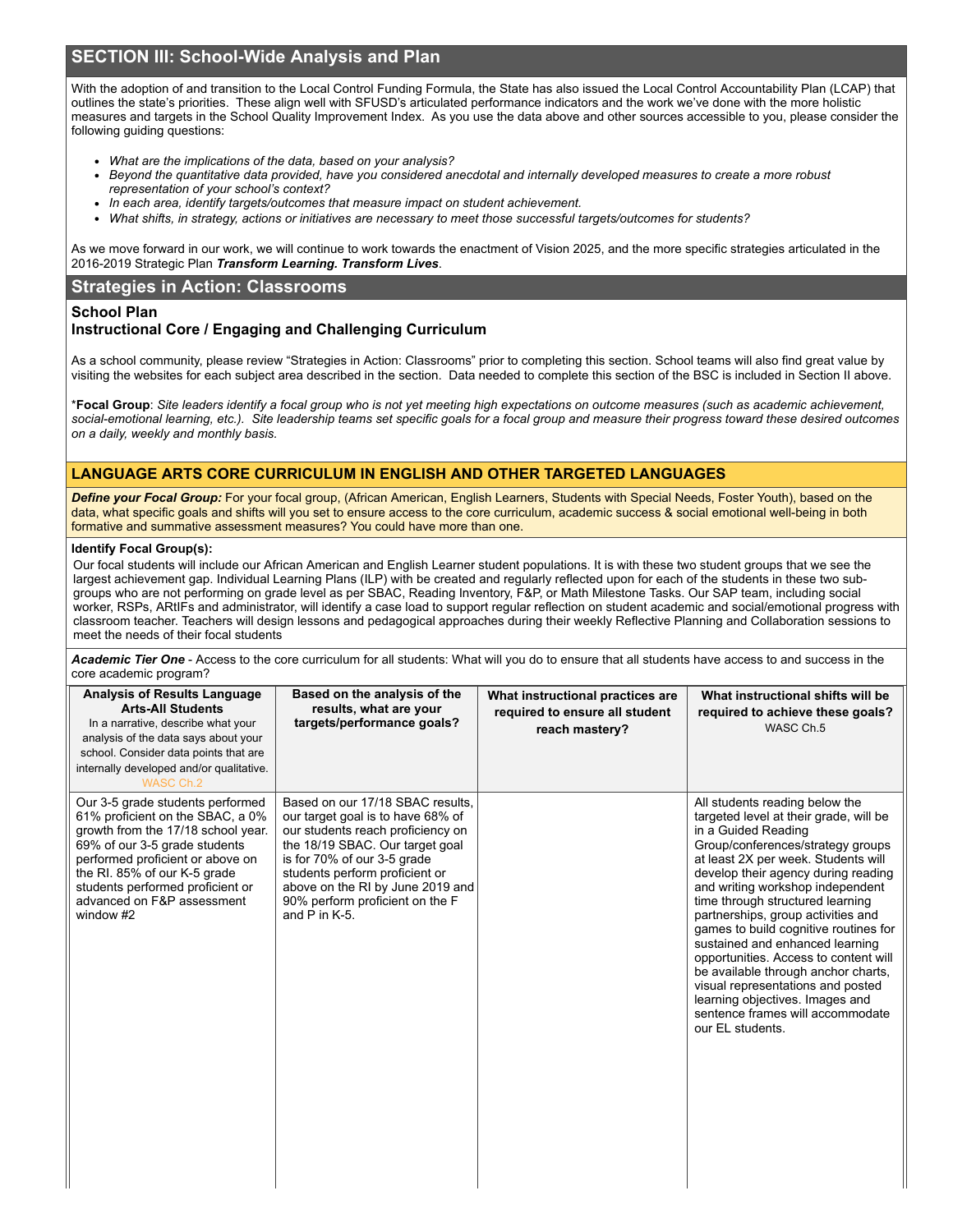# **SECTION III: School-Wide Analysis and Plan**

With the adoption of and transition to the Local Control Funding Formula, the State has also issued the Local Control Accountability Plan (LCAP) that outlines the state's priorities. These align well with SFUSD's articulated performance indicators and the work we've done with the more holistic measures and targets in the School Quality Improvement Index. As you use the data above and other sources accessible to you, please consider the following guiding questions:

- *What are the implications of the data, based on your analysis?*
- Beyond the quantitative data provided, have you considered anecdotal and internally developed measures to create a more robust *representation of your school's context?*
- *In each area, identify targets/outcomes that measure impact on student achievement.*
- What shifts, in strategy, actions or initiatives are necessary to meet those successful targets/outcomes for students?

As we move forward in our work, we will continue to work towards the enactment of Vision 2025, and the more specific strategies articulated in the 2016-2019 Strategic Plan *Transform Learning. Transform Lives*.

### **Strategies in Action: Classrooms**

### **School Plan**

### **Instructional Core / Engaging and Challenging Curriculum**

As a school community, please review "Strategies in Action: Classrooms" prior to completing this section. School teams will also find great value by visiting the websites for each subject area described in the section. Data needed to complete this section of the BSC is included in Section II above.

\*Focal Group: Site leaders identify a focal group who is not yet meeting high expectations on outcome measures (such as academic achievement, social-emotional learning, etc.). Site leadership teams set specific goals for a focal group and measure their progress toward these desired outcomes *on a daily, weekly and monthly basis.*

### **LANGUAGE ARTS CORE CURRICULUM IN ENGLISH AND OTHER TARGETED LANGUAGES**

*Define your Focal Group:* For your focal group, (African American, English Learners, Students with Special Needs, Foster Youth), based on the data, what specific goals and shifts will you set to ensure access to the core curriculum, academic success & social emotional well-being in both formative and summative assessment measures? You could have more than one.

### **Identify Focal Group(s):**

Our focal students will include our African American and English Learner student populations. It is with these two student groups that we see the largest achievement gap. Individual Learning Plans (ILP) with be created and regularly reflected upon for each of the students in these two subgroups who are not performing on grade level as per SBAC, Reading Inventory, F&P, or Math Milestone Tasks. Our SAP team, including social worker, RSPs, ARtIFs and administrator, will identify a case load to support regular reflection on student academic and social/emotional progress with classroom teacher. Teachers will design lessons and pedagogical approaches during their weekly Reflective Planning and Collaboration sessions to meet the needs of their focal students

*Academic Tier One* - Access to the core curriculum for all students: What will you do to ensure that all students have access to and success in the core academic program?

| <b>Analysis of Results Language</b><br><b>Arts-All Students</b><br>In a narrative, describe what your<br>analysis of the data says about your<br>school. Consider data points that are<br>internally developed and/or qualitative.<br>WASC Ch.2                                                | Based on the analysis of the<br>results, what are your<br>targets/performance goals?                                                                                                                                                                                                                     | What instructional practices are<br>required to ensure all student<br>reach mastery? | What instructional shifts will be<br>required to achieve these goals?<br>WASC Ch.5                                                                                                                                                                                                                                                                                                                                                                                                                                                                                                                                           |
|------------------------------------------------------------------------------------------------------------------------------------------------------------------------------------------------------------------------------------------------------------------------------------------------|----------------------------------------------------------------------------------------------------------------------------------------------------------------------------------------------------------------------------------------------------------------------------------------------------------|--------------------------------------------------------------------------------------|------------------------------------------------------------------------------------------------------------------------------------------------------------------------------------------------------------------------------------------------------------------------------------------------------------------------------------------------------------------------------------------------------------------------------------------------------------------------------------------------------------------------------------------------------------------------------------------------------------------------------|
| Our 3-5 grade students performed<br>61% proficient on the SBAC, a 0%<br>growth from the 17/18 school year.<br>69% of our 3-5 grade students<br>performed proficient or above on<br>the RI. 85% of our K-5 grade<br>students performed proficient or<br>advanced on F&P assessment<br>window #2 | Based on our 17/18 SBAC results.<br>our target goal is to have 68% of<br>our students reach proficiency on<br>the 18/19 SBAC. Our target goal<br>is for 70% of our 3-5 grade<br>students perform proficient or<br>above on the RI by June 2019 and<br>90% perform proficient on the F<br>and $P$ in K-5. |                                                                                      | All students reading below the<br>targeted level at their grade, will be<br>in a Guided Reading<br>Group/conferences/strategy groups<br>at least 2X per week. Students will<br>develop their agency during reading<br>and writing workshop independent<br>time through structured learning<br>partnerships, group activities and<br>games to build cognitive routines for<br>sustained and enhanced learning<br>opportunities. Access to content will<br>be available through anchor charts,<br>visual representations and posted<br>learning objectives. Images and<br>sentence frames will accommodate<br>our EL students. |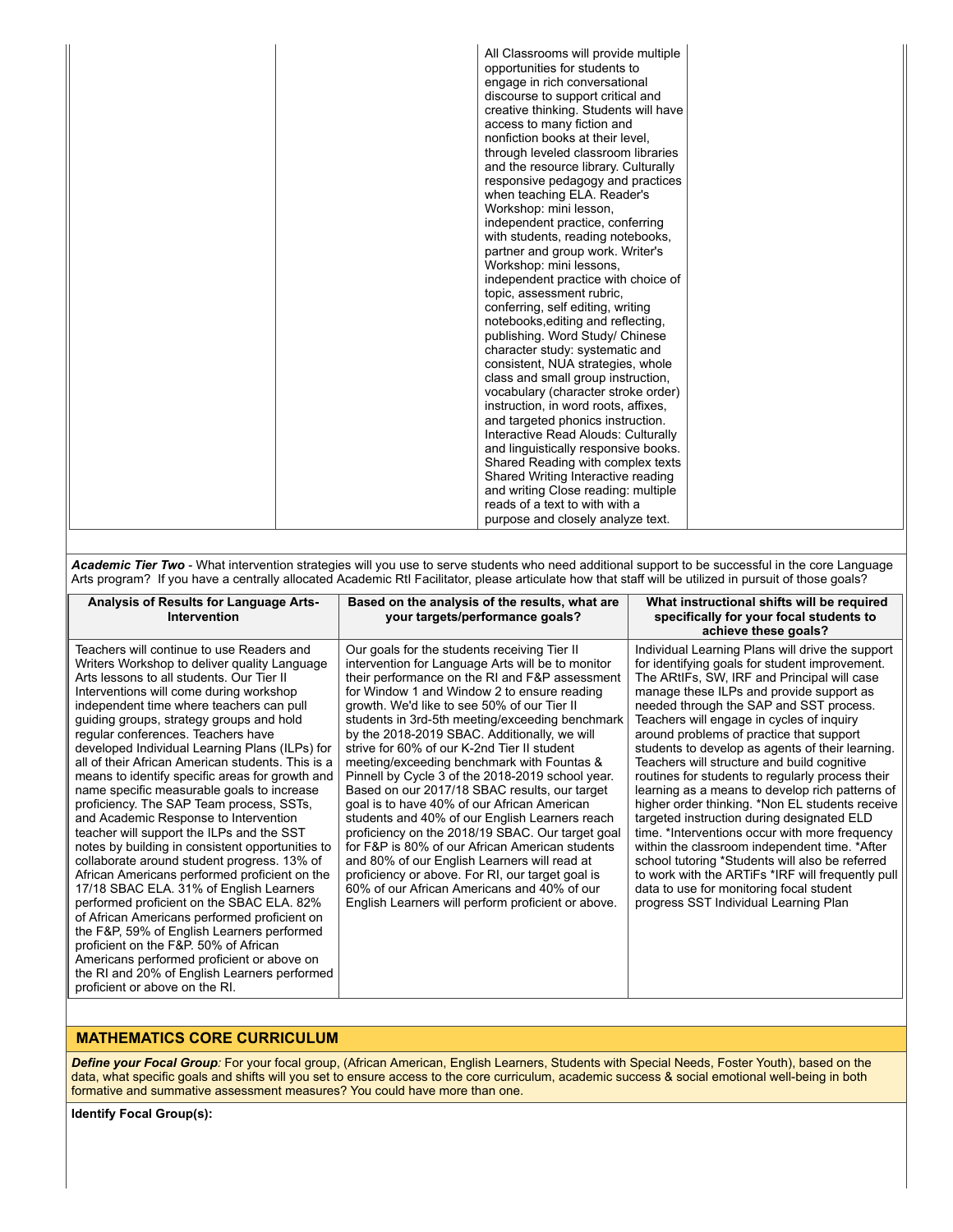| All Classrooms will provide multiple<br>opportunities for students to<br>engage in rich conversational<br>discourse to support critical and<br>creative thinking. Students will have<br>access to many fiction and<br>nonfiction books at their level,<br>through leveled classroom libraries<br>and the resource library. Culturally<br>responsive pedagogy and practices<br>when teaching ELA. Reader's<br>Workshop: mini lesson,<br>independent practice, conferring<br>with students, reading notebooks,<br>partner and group work. Writer's<br>Workshop: mini lessons,<br>independent practice with choice of<br>topic, assessment rubric,<br>conferring, self editing, writing<br>notebooks, editing and reflecting,<br>publishing. Word Study/ Chinese<br>character study: systematic and<br>consistent, NUA strategies, whole<br>class and small group instruction,<br>vocabulary (character stroke order)<br>instruction, in word roots, affixes,<br>and targeted phonics instruction.<br>Interactive Read Alouds: Culturally<br>and linguistically responsive books.<br>Shared Reading with complex texts<br>Shared Writing Interactive reading<br>and writing Close reading: multiple<br>reads of a text to with with a<br>purpose and closely analyze text. |  |
|-------------------------------------------------------------------------------------------------------------------------------------------------------------------------------------------------------------------------------------------------------------------------------------------------------------------------------------------------------------------------------------------------------------------------------------------------------------------------------------------------------------------------------------------------------------------------------------------------------------------------------------------------------------------------------------------------------------------------------------------------------------------------------------------------------------------------------------------------------------------------------------------------------------------------------------------------------------------------------------------------------------------------------------------------------------------------------------------------------------------------------------------------------------------------------------------------------------------------------------------------------------------------|--|
|-------------------------------------------------------------------------------------------------------------------------------------------------------------------------------------------------------------------------------------------------------------------------------------------------------------------------------------------------------------------------------------------------------------------------------------------------------------------------------------------------------------------------------------------------------------------------------------------------------------------------------------------------------------------------------------------------------------------------------------------------------------------------------------------------------------------------------------------------------------------------------------------------------------------------------------------------------------------------------------------------------------------------------------------------------------------------------------------------------------------------------------------------------------------------------------------------------------------------------------------------------------------------|--|

*Academic Tier Two* - What intervention strategies will you use to serve students who need additional support to be successful in the core Language Arts program? If you have a centrally allocated Academic RtI Facilitator, please articulate how that staff will be utilized in pursuit of those goals?

| Analysis of Results for Language Arts-<br>Intervention                                                                                                                                                                                                                                                                                                                                                                                                                                                                                                                                                                                                                                                                                                                                                                                                                                                                                                                                                                                                                                                                                                                       | Based on the analysis of the results, what are<br>your targets/performance goals?                                                                                                                                                                                                                                                                                                                                                                                                                                                                                                                                                                                                                                                                                                                                                                                                                                                                                       | What instructional shifts will be required<br>specifically for your focal students to<br>achieve these goals?                                                                                                                                                                                                                                                                                                                                                                                                                                                                                                                                                                                                                                                                                                                                                                                                                                |
|------------------------------------------------------------------------------------------------------------------------------------------------------------------------------------------------------------------------------------------------------------------------------------------------------------------------------------------------------------------------------------------------------------------------------------------------------------------------------------------------------------------------------------------------------------------------------------------------------------------------------------------------------------------------------------------------------------------------------------------------------------------------------------------------------------------------------------------------------------------------------------------------------------------------------------------------------------------------------------------------------------------------------------------------------------------------------------------------------------------------------------------------------------------------------|-------------------------------------------------------------------------------------------------------------------------------------------------------------------------------------------------------------------------------------------------------------------------------------------------------------------------------------------------------------------------------------------------------------------------------------------------------------------------------------------------------------------------------------------------------------------------------------------------------------------------------------------------------------------------------------------------------------------------------------------------------------------------------------------------------------------------------------------------------------------------------------------------------------------------------------------------------------------------|----------------------------------------------------------------------------------------------------------------------------------------------------------------------------------------------------------------------------------------------------------------------------------------------------------------------------------------------------------------------------------------------------------------------------------------------------------------------------------------------------------------------------------------------------------------------------------------------------------------------------------------------------------------------------------------------------------------------------------------------------------------------------------------------------------------------------------------------------------------------------------------------------------------------------------------------|
| Teachers will continue to use Readers and<br>Writers Workshop to deliver quality Language<br>Arts lessons to all students. Our Tier II<br>Interventions will come during workshop<br>independent time where teachers can pull<br>guiding groups, strategy groups and hold<br>regular conferences. Teachers have<br>developed Individual Learning Plans (ILPs) for<br>all of their African American students. This is a<br>means to identify specific areas for growth and<br>name specific measurable goals to increase<br>proficiency. The SAP Team process, SSTs,<br>and Academic Response to Intervention<br>teacher will support the ILPs and the SST<br>notes by building in consistent opportunities to<br>collaborate around student progress. 13% of<br>African Americans performed proficient on the<br>17/18 SBAC ELA. 31% of English Learners<br>performed proficient on the SBAC ELA. 82%<br>of African Americans performed proficient on<br>the F&P, 59% of English Learners performed<br>proficient on the F&P. 50% of African<br>Americans performed proficient or above on<br>the RI and 20% of English Learners performed<br>proficient or above on the RI. | Our goals for the students receiving Tier II<br>intervention for Language Arts will be to monitor<br>their performance on the RI and F&P assessment<br>for Window 1 and Window 2 to ensure reading<br>growth. We'd like to see 50% of our Tier II<br>students in 3rd-5th meeting/exceeding benchmark<br>by the 2018-2019 SBAC. Additionally, we will<br>strive for 60% of our K-2nd Tier II student<br>meeting/exceeding benchmark with Fountas &<br>Pinnell by Cycle 3 of the 2018-2019 school year.<br>Based on our 2017/18 SBAC results, our target<br>goal is to have 40% of our African American<br>students and 40% of our English Learners reach<br>proficiency on the 2018/19 SBAC. Our target goal<br>for F&P is 80% of our African American students<br>and 80% of our English Learners will read at<br>proficiency or above. For RI, our target goal is<br>60% of our African Americans and 40% of our<br>English Learners will perform proficient or above. | Individual Learning Plans will drive the support<br>for identifying goals for student improvement.<br>The ARtIFs, SW, IRF and Principal will case<br>manage these ILPs and provide support as<br>needed through the SAP and SST process.<br>Teachers will engage in cycles of inquiry<br>around problems of practice that support<br>students to develop as agents of their learning.<br>Teachers will structure and build cognitive<br>routines for students to regularly process their<br>learning as a means to develop rich patterns of<br>higher order thinking. *Non EL students receive<br>targeted instruction during designated ELD<br>time. *Interventions occur with more frequency<br>within the classroom independent time. *After<br>school tutoring *Students will also be referred<br>to work with the ARTIFs *IRF will frequently pull<br>data to use for monitoring focal student<br>progress SST Individual Learning Plan |

# **MATHEMATICS CORE CURRICULUM**

*Define your Focal Group:* For your focal group, (African American, English Learners, Students with Special Needs, Foster Youth), based on the data, what specific goals and shifts will you set to ensure access to the core curriculum, academic success & social emotional well-being in both formative and summative assessment measures? You could have more than one.

**Identify Focal Group(s):**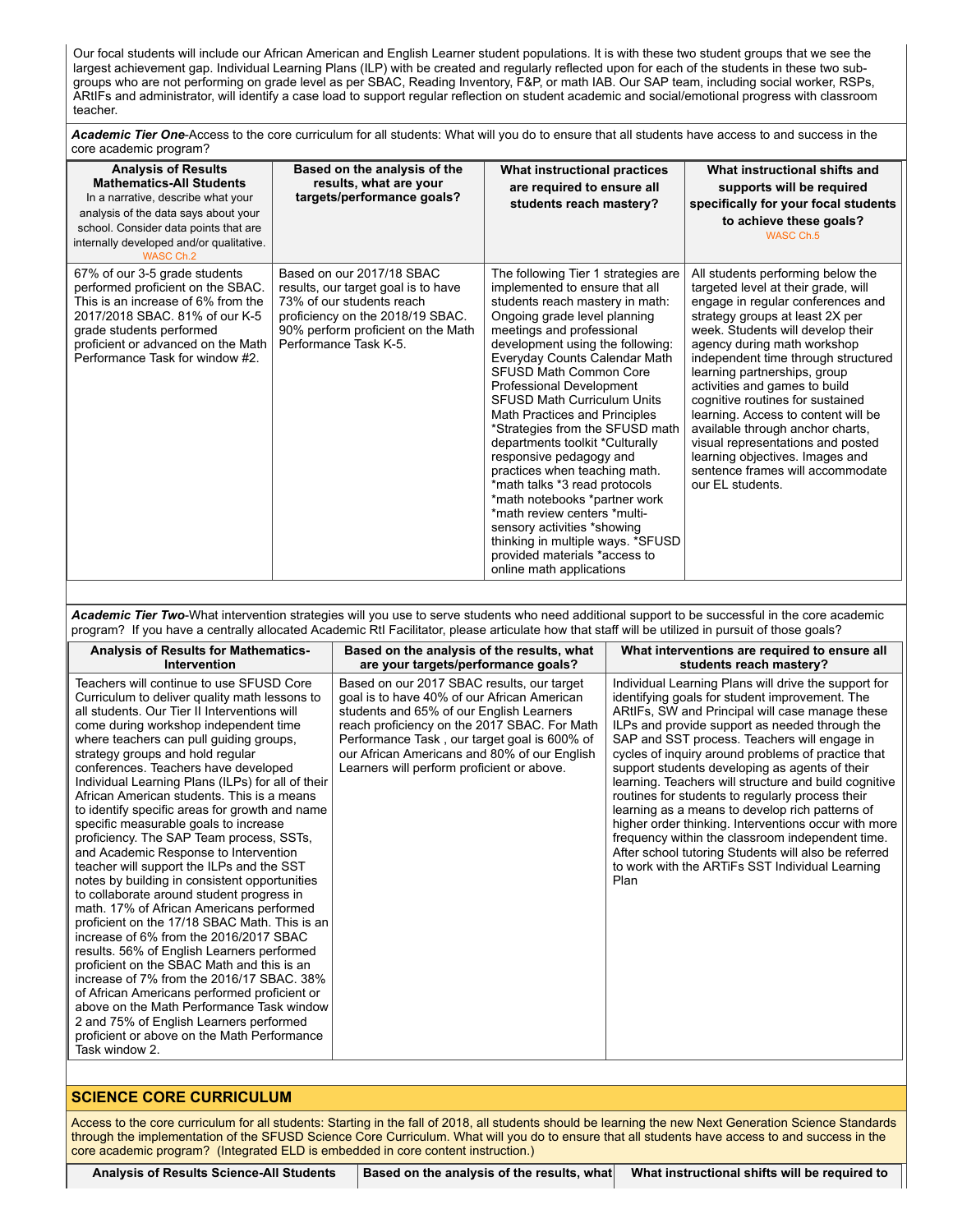Our focal students will include our African American and English Learner student populations. It is with these two student groups that we see the largest achievement gap. Individual Learning Plans (ILP) with be created and regularly reflected upon for each of the students in these two subgroups who are not performing on grade level as per SBAC, Reading Inventory, F&P, or math IAB. Our SAP team, including social worker, RSPs, ARtIFs and administrator, will identify a case load to support regular reflection on student academic and social/emotional progress with classroom teacher.

|                        | Academic Tier One-Access to the core curriculum for all students: What will you do to ensure that all students have access to and success in the |
|------------------------|--------------------------------------------------------------------------------------------------------------------------------------------------|
| core academic program? |                                                                                                                                                  |

| <b>Analysis of Results</b><br><b>Mathematics-All Students</b><br>In a narrative, describe what your<br>analysis of the data says about your<br>school. Consider data points that are<br>internally developed and/or qualitative.<br>WASC Ch.2   | Based on the analysis of the<br>results, what are your<br>targets/performance goals?                                                                                                             | What instructional practices<br>are required to ensure all<br>students reach mastery?                                                                                                                                                                                                                                                                                                                                                                                                                                                                                                                                                                                                                                                        | What instructional shifts and<br>supports will be required<br>specifically for your focal students<br>to achieve these goals?<br>WASC Ch.5                                                                                                                                                                                                                                                                                                                                                                                                                                  |
|-------------------------------------------------------------------------------------------------------------------------------------------------------------------------------------------------------------------------------------------------|--------------------------------------------------------------------------------------------------------------------------------------------------------------------------------------------------|----------------------------------------------------------------------------------------------------------------------------------------------------------------------------------------------------------------------------------------------------------------------------------------------------------------------------------------------------------------------------------------------------------------------------------------------------------------------------------------------------------------------------------------------------------------------------------------------------------------------------------------------------------------------------------------------------------------------------------------------|-----------------------------------------------------------------------------------------------------------------------------------------------------------------------------------------------------------------------------------------------------------------------------------------------------------------------------------------------------------------------------------------------------------------------------------------------------------------------------------------------------------------------------------------------------------------------------|
| 67% of our 3-5 grade students<br>performed proficient on the SBAC.<br>This is an increase of 6% from the<br>2017/2018 SBAC. 81% of our K-5<br>grade students performed<br>proficient or advanced on the Math<br>Performance Task for window #2. | Based on our 2017/18 SBAC<br>results, our target goal is to have<br>73% of our students reach<br>proficiency on the 2018/19 SBAC.<br>90% perform proficient on the Math<br>Performance Task K-5. | The following Tier 1 strategies are<br>implemented to ensure that all<br>students reach mastery in math:<br>Ongoing grade level planning<br>meetings and professional<br>development using the following:<br>Everyday Counts Calendar Math<br>SFUSD Math Common Core<br>Professional Development<br><b>SFUSD Math Curriculum Units</b><br>Math Practices and Principles<br>*Strategies from the SFUSD math<br>departments toolkit *Culturally<br>responsive pedagogy and<br>practices when teaching math.<br>*math talks *3 read protocols<br>*math notebooks *partner work<br>*math review centers *multi-<br>sensory activities *showing<br>thinking in multiple ways. *SFUSD<br>provided materials *access to<br>online math applications | All students performing below the<br>targeted level at their grade, will<br>engage in regular conferences and<br>strategy groups at least 2X per<br>week. Students will develop their<br>agency during math workshop<br>independent time through structured<br>learning partnerships, group<br>activities and games to build<br>cognitive routines for sustained<br>learning. Access to content will be<br>available through anchor charts,<br>visual representations and posted<br>learning objectives. Images and<br>sentence frames will accommodate<br>our EL students. |

*Academic Tier Two*-What intervention strategies will you use to serve students who need additional support to be successful in the core academic program? If you have a centrally allocated Academic RtI Facilitator, please articulate how that staff will be utilized in pursuit of those goals?

| <b>Analysis of Results for Mathematics-</b>                                                                                                                                                                                                                                                                                                                                                                                                                                                                                                                                                                                                                                                                                                                                                                                                                                                                                                                                                                                                                                                                                                                                                                                      | Based on the analysis of the results, what                                                                                                                                                                                                                                                                                          | What interventions are required to ensure all                                                                                                                                                                                                                                                                                                                                                                                                                                                                                                                                                                                                                                                                                                                      |
|----------------------------------------------------------------------------------------------------------------------------------------------------------------------------------------------------------------------------------------------------------------------------------------------------------------------------------------------------------------------------------------------------------------------------------------------------------------------------------------------------------------------------------------------------------------------------------------------------------------------------------------------------------------------------------------------------------------------------------------------------------------------------------------------------------------------------------------------------------------------------------------------------------------------------------------------------------------------------------------------------------------------------------------------------------------------------------------------------------------------------------------------------------------------------------------------------------------------------------|-------------------------------------------------------------------------------------------------------------------------------------------------------------------------------------------------------------------------------------------------------------------------------------------------------------------------------------|--------------------------------------------------------------------------------------------------------------------------------------------------------------------------------------------------------------------------------------------------------------------------------------------------------------------------------------------------------------------------------------------------------------------------------------------------------------------------------------------------------------------------------------------------------------------------------------------------------------------------------------------------------------------------------------------------------------------------------------------------------------------|
| Intervention                                                                                                                                                                                                                                                                                                                                                                                                                                                                                                                                                                                                                                                                                                                                                                                                                                                                                                                                                                                                                                                                                                                                                                                                                     | are your targets/performance goals?                                                                                                                                                                                                                                                                                                 | students reach mastery?                                                                                                                                                                                                                                                                                                                                                                                                                                                                                                                                                                                                                                                                                                                                            |
| Teachers will continue to use SFUSD Core<br>Curriculum to deliver quality math lessons to<br>all students. Our Tier II Interventions will<br>come during workshop independent time<br>where teachers can pull guiding groups,<br>strategy groups and hold regular<br>conferences. Teachers have developed<br>Individual Learning Plans (ILPs) for all of their<br>African American students. This is a means<br>to identify specific areas for growth and name<br>specific measurable goals to increase<br>proficiency. The SAP Team process, SSTs,<br>and Academic Response to Intervention<br>teacher will support the ILPs and the SST<br>notes by building in consistent opportunities<br>to collaborate around student progress in<br>math. 17% of African Americans performed<br>proficient on the 17/18 SBAC Math. This is an<br>increase of 6% from the 2016/2017 SBAC<br>results. 56% of English Learners performed<br>proficient on the SBAC Math and this is an<br>increase of 7% from the 2016/17 SBAC, 38%<br>of African Americans performed proficient or<br>above on the Math Performance Task window<br>2 and 75% of English Learners performed<br>proficient or above on the Math Performance<br>Task window 2. | Based on our 2017 SBAC results, our target<br>goal is to have 40% of our African American<br>students and 65% of our English Learners<br>reach proficiency on the 2017 SBAC. For Math<br>Performance Task, our target goal is 600% of<br>our African Americans and 80% of our English<br>Learners will perform proficient or above. | Individual Learning Plans will drive the support for<br>identifying goals for student improvement. The<br>ARtIFs, SW and Principal will case manage these<br>ILPs and provide support as needed through the<br>SAP and SST process. Teachers will engage in<br>cycles of inquiry around problems of practice that<br>support students developing as agents of their<br>learning. Teachers will structure and build cognitive<br>routines for students to regularly process their<br>learning as a means to develop rich patterns of<br>higher order thinking. Interventions occur with more<br>frequency within the classroom independent time.<br>After school tutoring Students will also be referred<br>to work with the ARTIFs SST Individual Learning<br>Plan |

# **SCIENCE CORE CURRICULUM**

Access to the core curriculum for all students: Starting in the fall of 2018, all students should be learning the new Next Generation Science Standards through the implementation of the SFUSD Science Core Curriculum. What will you do to ensure that all students have access to and success in the core academic program? (Integrated ELD is embedded in core content instruction.)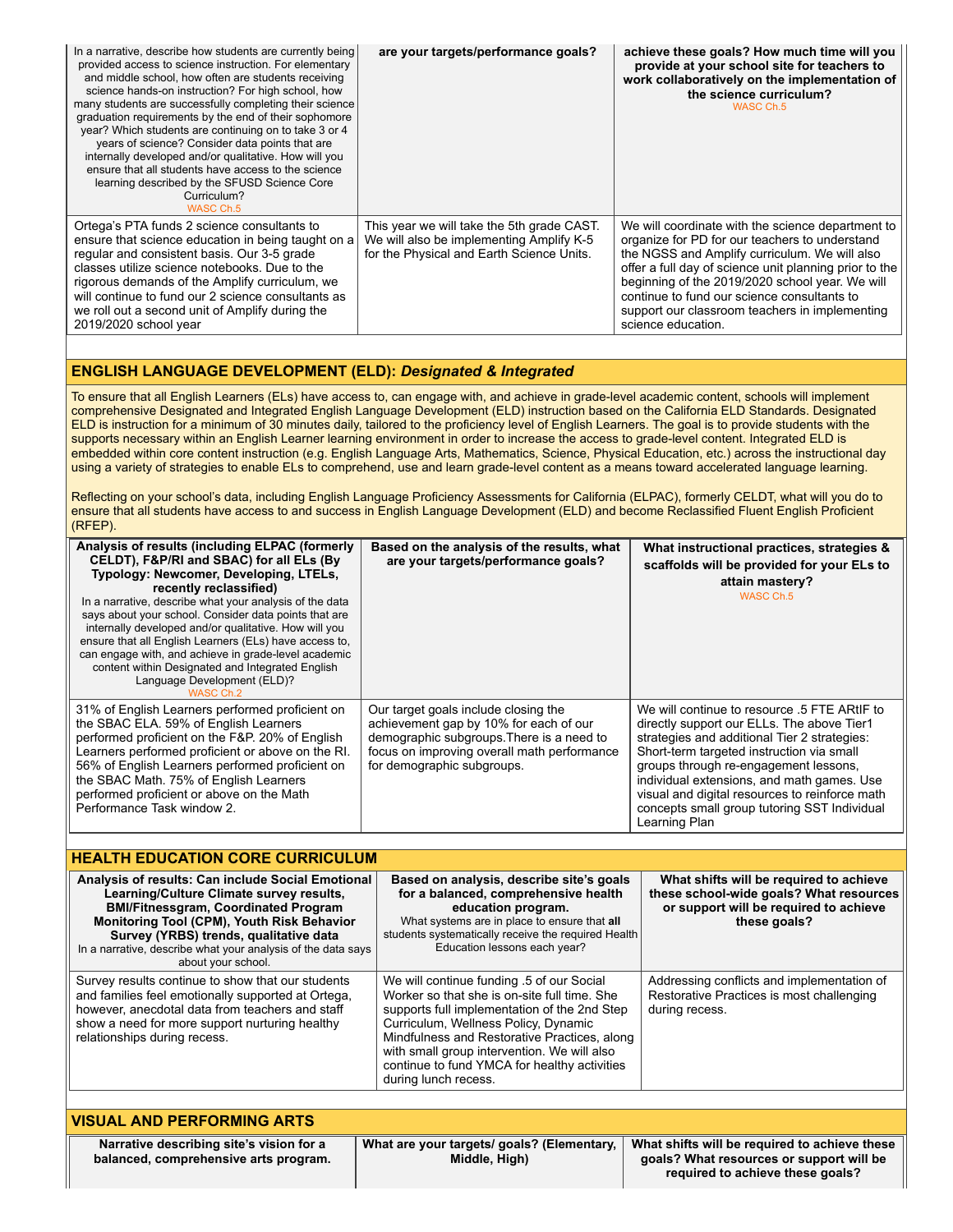| In a narrative, describe how students are currently being<br>provided access to science instruction. For elementary<br>and middle school, how often are students receiving<br>science hands-on instruction? For high school, how<br>many students are successfully completing their science<br>graduation requirements by the end of their sophomore<br>year? Which students are continuing on to take 3 or 4<br>years of science? Consider data points that are<br>internally developed and/or qualitative. How will you<br>ensure that all students have access to the science<br>learning described by the SFUSD Science Core<br>Curriculum?<br>WASC Ch.5 | are your targets/performance goals?                                                                                                 | achieve these goals? How much time will you<br>provide at your school site for teachers to<br>work collaboratively on the implementation of<br>the science curriculum?<br>WASC Ch.5                                                                                                                                                                                                      |
|--------------------------------------------------------------------------------------------------------------------------------------------------------------------------------------------------------------------------------------------------------------------------------------------------------------------------------------------------------------------------------------------------------------------------------------------------------------------------------------------------------------------------------------------------------------------------------------------------------------------------------------------------------------|-------------------------------------------------------------------------------------------------------------------------------------|------------------------------------------------------------------------------------------------------------------------------------------------------------------------------------------------------------------------------------------------------------------------------------------------------------------------------------------------------------------------------------------|
| Ortega's PTA funds 2 science consultants to<br>ensure that science education in being taught on a<br>regular and consistent basis. Our 3-5 grade<br>classes utilize science notebooks. Due to the<br>rigorous demands of the Amplify curriculum, we<br>will continue to fund our 2 science consultants as<br>we roll out a second unit of Amplify during the<br>2019/2020 school year                                                                                                                                                                                                                                                                        | This year we will take the 5th grade CAST.<br>We will also be implementing Amplify K-5<br>for the Physical and Earth Science Units. | We will coordinate with the science department to<br>organize for PD for our teachers to understand<br>the NGSS and Amplify curriculum. We will also<br>offer a full day of science unit planning prior to the<br>beginning of the 2019/2020 school year. We will<br>continue to fund our science consultants to<br>support our classroom teachers in implementing<br>science education. |

# **ENGLISH LANGUAGE DEVELOPMENT (ELD):** *Designated & Integrated*

To ensure that all English Learners (ELs) have access to, can engage with, and achieve in grade-level academic content, schools will implement comprehensive Designated and Integrated English Language Development (ELD) instruction based on the California ELD Standards. Designated ELD is instruction for a minimum of 30 minutes daily, tailored to the proficiency level of English Learners. The goal is to provide students with the supports necessary within an English Learner learning environment in order to increase the access to grade-level content. Integrated ELD is embedded within core content instruction (e.g. English Language Arts, Mathematics, Science, Physical Education, etc.) across the instructional day using a variety of strategies to enable ELs to comprehend, use and learn grade-level content as a means toward accelerated language learning.

Reflecting on your school's data, including English Language Proficiency Assessments for California (ELPAC), formerly CELDT, what will you do to ensure that all students have access to and success in English Language Development (ELD) and become Reclassified Fluent English Proficient (RFEP).

| Analysis of results (including ELPAC (formerly<br>CELDT), F&P/RI and SBAC) for all ELs (By<br>Typology: Newcomer, Developing, LTELs,<br>recently reclassified)<br>In a narrative, describe what your analysis of the data<br>says about your school. Consider data points that are<br>internally developed and/or qualitative. How will you<br>ensure that all English Learners (ELs) have access to,<br>can engage with, and achieve in grade-level academic<br>content within Designated and Integrated English<br>Language Development (ELD)?<br>WASC Ch.2 | Based on the analysis of the results, what<br>are your targets/performance goals?                                                                                                                                                                                                                                                                        | What instructional practices, strategies &<br>scaffolds will be provided for your ELs to<br>attain mastery?<br>WASC Ch.5                                                                                                                                                                                                                                                                          |
|---------------------------------------------------------------------------------------------------------------------------------------------------------------------------------------------------------------------------------------------------------------------------------------------------------------------------------------------------------------------------------------------------------------------------------------------------------------------------------------------------------------------------------------------------------------|----------------------------------------------------------------------------------------------------------------------------------------------------------------------------------------------------------------------------------------------------------------------------------------------------------------------------------------------------------|---------------------------------------------------------------------------------------------------------------------------------------------------------------------------------------------------------------------------------------------------------------------------------------------------------------------------------------------------------------------------------------------------|
| 31% of English Learners performed proficient on<br>the SBAC ELA. 59% of English Learners<br>performed proficient on the F&P. 20% of English<br>Learners performed proficient or above on the RI.<br>56% of English Learners performed proficient on<br>the SBAC Math. 75% of English Learners<br>performed proficient or above on the Math<br>Performance Task window 2.                                                                                                                                                                                      | Our target goals include closing the<br>achievement gap by 10% for each of our<br>demographic subgroups. There is a need to<br>focus on improving overall math performance<br>for demographic subgroups.                                                                                                                                                 | We will continue to resource .5 FTE ARtIF to<br>directly support our ELLs. The above Tier1<br>strategies and additional Tier 2 strategies:<br>Short-term targeted instruction via small<br>groups through re-engagement lessons,<br>individual extensions, and math games. Use<br>visual and digital resources to reinforce math<br>concepts small group tutoring SST Individual<br>Learning Plan |
|                                                                                                                                                                                                                                                                                                                                                                                                                                                                                                                                                               |                                                                                                                                                                                                                                                                                                                                                          |                                                                                                                                                                                                                                                                                                                                                                                                   |
| <b>HEALTH EDUCATION CORE CURRICULUM</b>                                                                                                                                                                                                                                                                                                                                                                                                                                                                                                                       |                                                                                                                                                                                                                                                                                                                                                          |                                                                                                                                                                                                                                                                                                                                                                                                   |
| Analysis of results: Can include Social Emotional<br>Learning/Culture Climate survey results,<br><b>BMI/Fitnessgram, Coordinated Program</b><br>Monitoring Tool (CPM), Youth Risk Behavior<br>Survey (YRBS) trends, qualitative data<br>In a narrative, describe what your analysis of the data says<br>about your school.                                                                                                                                                                                                                                    | Based on analysis, describe site's goals<br>for a balanced, comprehensive health<br>education program.<br>What systems are in place to ensure that all<br>students systematically receive the required Health<br>Education lessons each year?                                                                                                            | What shifts will be required to achieve<br>these school-wide goals? What resources<br>or support will be required to achieve<br>these goals?                                                                                                                                                                                                                                                      |
| Survey results continue to show that our students<br>and families feel emotionally supported at Ortega,<br>however, anecdotal data from teachers and staff<br>show a need for more support nurturing healthy<br>relationships during recess.                                                                                                                                                                                                                                                                                                                  | We will continue funding .5 of our Social<br>Worker so that she is on-site full time. She<br>supports full implementation of the 2nd Step<br>Curriculum, Wellness Policy, Dynamic<br>Mindfulness and Restorative Practices, along<br>with small group intervention. We will also<br>continue to fund YMCA for healthy activities<br>during lunch recess. | Addressing conflicts and implementation of<br>Restorative Practices is most challenging<br>during recess.                                                                                                                                                                                                                                                                                         |
|                                                                                                                                                                                                                                                                                                                                                                                                                                                                                                                                                               |                                                                                                                                                                                                                                                                                                                                                          |                                                                                                                                                                                                                                                                                                                                                                                                   |
| <b>VISUAL AND PERFORMING ARTS</b>                                                                                                                                                                                                                                                                                                                                                                                                                                                                                                                             |                                                                                                                                                                                                                                                                                                                                                          |                                                                                                                                                                                                                                                                                                                                                                                                   |
| Narrative describing site's vision for a<br>balanced, comprehensive arts program.                                                                                                                                                                                                                                                                                                                                                                                                                                                                             | What are your targets/ goals? (Elementary,<br>Middle, High)                                                                                                                                                                                                                                                                                              | What shifts will be required to achieve these<br>goals? What resources or support will be<br>required to achieve these goals?                                                                                                                                                                                                                                                                     |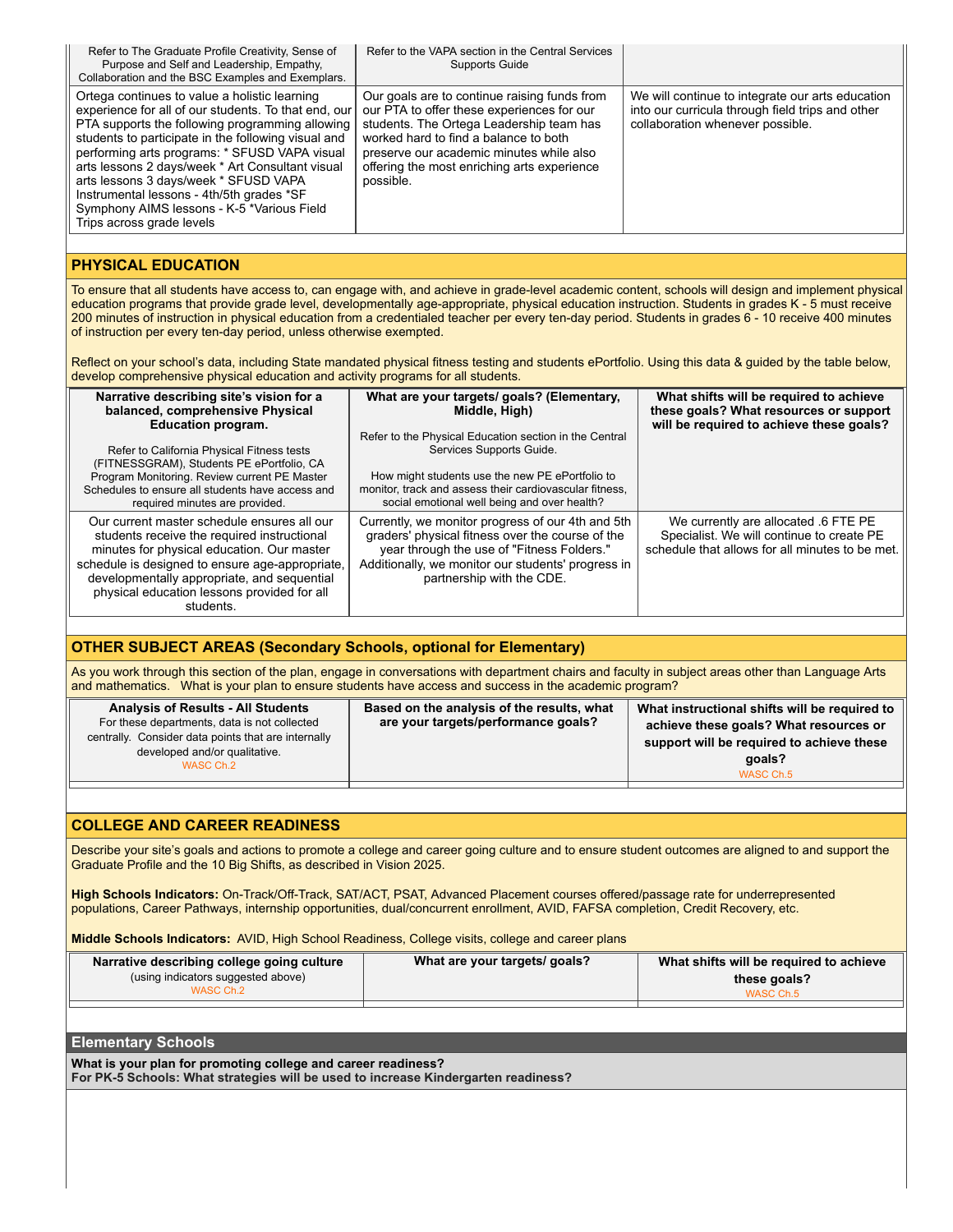| Refer to The Graduate Profile Creativity, Sense of<br>Purpose and Self and Leadership, Empathy,<br>Collaboration and the BSC Examples and Exemplars.                                                                                                                                                                                                                                                                                                                                  | Refer to the VAPA section in the Central Services<br><b>Supports Guide</b>                                                                                                                                                                                                              |                                                                                                                                          |
|---------------------------------------------------------------------------------------------------------------------------------------------------------------------------------------------------------------------------------------------------------------------------------------------------------------------------------------------------------------------------------------------------------------------------------------------------------------------------------------|-----------------------------------------------------------------------------------------------------------------------------------------------------------------------------------------------------------------------------------------------------------------------------------------|------------------------------------------------------------------------------------------------------------------------------------------|
| Ortega continues to value a holistic learning<br>experience for all of our students. To that end, our<br>PTA supports the following programming allowing<br>students to participate in the following visual and<br>performing arts programs: * SFUSD VAPA visual<br>arts lessons 2 days/week * Art Consultant visual<br>arts lessons 3 days/week * SFUSD VAPA<br>Instrumental lessons - 4th/5th grades *SF<br>Symphony AIMS lessons - K-5 *Various Field<br>Trips across grade levels | Our goals are to continue raising funds from<br>our PTA to offer these experiences for our<br>students. The Ortega Leadership team has<br>worked hard to find a balance to both<br>preserve our academic minutes while also<br>offering the most enriching arts experience<br>possible. | We will continue to integrate our arts education<br>into our curricula through field trips and other<br>collaboration whenever possible. |
|                                                                                                                                                                                                                                                                                                                                                                                                                                                                                       |                                                                                                                                                                                                                                                                                         |                                                                                                                                          |
|                                                                                                                                                                                                                                                                                                                                                                                                                                                                                       |                                                                                                                                                                                                                                                                                         |                                                                                                                                          |

## **PHYSICAL EDUCATION**

To ensure that all students have access to, can engage with, and achieve in grade-level academic content, schools will design and implement physical education programs that provide grade level, developmentally age-appropriate, physical education instruction. Students in grades K - 5 must receive 200 minutes of instruction in physical education from a credentialed teacher per every ten-day period. Students in grades 6 - 10 receive 400 minutes of instruction per every ten-day period, unless otherwise exempted.

Reflect on your school's data, including State mandated physical fitness testing and students ePortfolio. Using this data & guided by the table below, develop comprehensive physical education and activity programs for all students.

| Narrative describing site's vision for a<br>balanced, comprehensive Physical<br><b>Education program.</b>                                                                                                                                                                                              | What are your targets/ goals? (Elementary,<br>Middle, High)<br>Refer to the Physical Education section in the Central                                                                                                                  | What shifts will be required to achieve<br>these goals? What resources or support<br>will be required to achieve these goals?        |
|--------------------------------------------------------------------------------------------------------------------------------------------------------------------------------------------------------------------------------------------------------------------------------------------------------|----------------------------------------------------------------------------------------------------------------------------------------------------------------------------------------------------------------------------------------|--------------------------------------------------------------------------------------------------------------------------------------|
| Refer to California Physical Fitness tests<br>(FITNESSGRAM), Students PE ePortfolio, CA                                                                                                                                                                                                                | Services Supports Guide.                                                                                                                                                                                                               |                                                                                                                                      |
| Program Monitoring. Review current PE Master<br>Schedules to ensure all students have access and<br>required minutes are provided.                                                                                                                                                                     | How might students use the new PE ePortfolio to<br>monitor, track and assess their cardiovascular fitness.<br>social emotional well being and over health?                                                                             |                                                                                                                                      |
| Our current master schedule ensures all our<br>students receive the required instructional<br>minutes for physical education. Our master<br>schedule is designed to ensure age-appropriate,<br>developmentally appropriate, and sequential<br>physical education lessons provided for all<br>students. | Currently, we monitor progress of our 4th and 5th<br>graders' physical fitness over the course of the<br>year through the use of "Fitness Folders."<br>Additionally, we monitor our students' progress in<br>partnership with the CDE. | We currently are allocated .6 FTE PE<br>Specialist. We will continue to create PE<br>schedule that allows for all minutes to be met. |

### **OTHER SUBJECT AREAS (Secondary Schools, optional for Elementary)**

As you work through this section of the plan, engage in conversations with department chairs and faculty in subject areas other than Language Arts and mathematics. What is your plan to ensure students have access and success in the academic program?

| <b>Analysis of Results - All Students</b><br>For these departments, data is not collected<br>centrally. Consider data points that are internally<br>developed and/or qualitative.<br>WASC Ch.2 | Based on the analysis of the results, what<br>are your targets/performance goals? | What instructional shifts will be required to<br>achieve these goals? What resources or<br>support will be required to achieve these<br>qoals?<br>WASC Ch.5 |
|------------------------------------------------------------------------------------------------------------------------------------------------------------------------------------------------|-----------------------------------------------------------------------------------|-------------------------------------------------------------------------------------------------------------------------------------------------------------|
|                                                                                                                                                                                                |                                                                                   |                                                                                                                                                             |

# **COLLEGE AND CAREER READINESS**

Describe your site's goals and actions to promote a college and career going culture and to ensure student outcomes are aligned to and support the Graduate Profile and the 10 Big Shifts, as described in Vision 2025.

**High Schools Indicators:** On-Track/Off-Track, SAT/ACT, PSAT, Advanced Placement courses offered/passage rate for underrepresented populations, Career Pathways, internship opportunities, dual/concurrent enrollment, AVID, FAFSA completion, Credit Recovery, etc.

**Middle Schools Indicators:** AVID, High School Readiness, College visits, college and career plans

| Narrative describing college going culture | What are your targets/ goals? | What shifts will be required to achieve |
|--------------------------------------------|-------------------------------|-----------------------------------------|
| (using indicators suggested above)         |                               | these goals?                            |
| WASC Ch.2                                  |                               | WASC Ch.5                               |
|                                            |                               |                                         |

### **Elementary Schools**

**What is your plan for promoting college and career readiness? For PK-5 Schools: What strategies will be used to increase Kindergarten readiness?**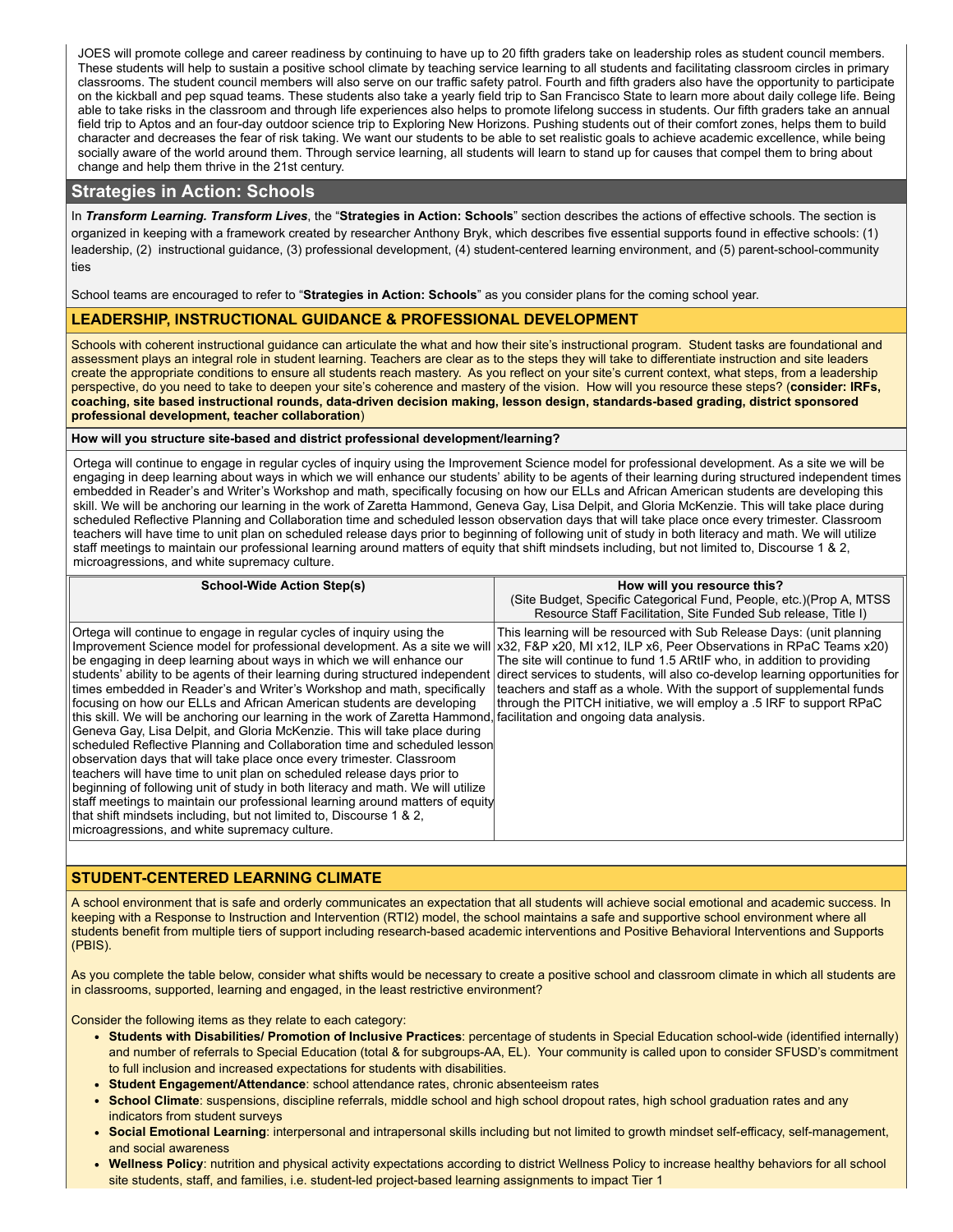JOES will promote college and career readiness by continuing to have up to 20 fifth graders take on leadership roles as student council members. These students will help to sustain a positive school climate by teaching service learning to all students and facilitating classroom circles in primary classrooms. The student council members will also serve on our traffic safety patrol. Fourth and fifth graders also have the opportunity to participate on the kickball and pep squad teams. These students also take a yearly field trip to San Francisco State to learn more about daily college life. Being able to take risks in the classroom and through life experiences also helps to promote lifelong success in students. Our fifth graders take an annual field trip to Aptos and an four-day outdoor science trip to Exploring New Horizons. Pushing students out of their comfort zones, helps them to build character and decreases the fear of risk taking. We want our students to be able to set realistic goals to achieve academic excellence, while being socially aware of the world around them. Through service learning, all students will learn to stand up for causes that compel them to bring about change and help them thrive in the 21st century.

# **Strategies in Action: Schools**

In *Transform Learning. Transform Lives*, the "**Strategies in Action: Schools**" section describes the actions of effective schools. The section is organized in keeping with a framework created by researcher Anthony Bryk, which describes five essential supports found in effective schools: (1) leadership, (2) instructional guidance, (3) professional development, (4) student-centered learning environment, and (5) parent-school-community ties

School teams are encouraged to refer to "**Strategies in Action: Schools**" as you consider plans for the coming school year.

### **LEADERSHIP, INSTRUCTIONAL GUIDANCE & PROFESSIONAL DEVELOPMENT**

Schools with coherent instructional guidance can articulate the what and how their site's instructional program. Student tasks are foundational and assessment plays an integral role in student learning. Teachers are clear as to the steps they will take to differentiate instruction and site leaders create the appropriate conditions to ensure all students reach mastery. As you reflect on your site's current context, what steps, from a leadership perspective, do you need to take to deepen your site's coherence and mastery of the vision. How will you resource these steps? (**consider: IRFs,** coaching, site based instructional rounds, data-driven decision making, lesson design, standards-based grading, district sponsored **professional development, teacher collaboration**)

### **How will you structure site-based and district professional development/learning?**

Ortega will continue to engage in regular cycles of inquiry using the Improvement Science model for professional development. As a site we will be engaging in deep learning about ways in which we will enhance our students' ability to be agents of their learning during structured independent times embedded in Reader's and Writer's Workshop and math, specifically focusing on how our ELLs and African American students are developing this skill. We will be anchoring our learning in the work of Zaretta Hammond, Geneva Gay, Lisa Delpit, and Gloria McKenzie. This will take place during scheduled Reflective Planning and Collaboration time and scheduled lesson observation days that will take place once every trimester. Classroom teachers will have time to unit plan on scheduled release days prior to beginning of following unit of study in both literacy and math. We will utilize staff meetings to maintain our professional learning around matters of equity that shift mindsets including, but not limited to, Discourse 1 & 2, microagressions, and white supremacy culture.

| <b>School-Wide Action Step(s)</b>                                                                                                                                                                                                                                                                                                                                                                                                                                                                                                                                                                                                                                                                                                                                                                                                                                                                                                                                                                                                                                                                                                                                                                                                                                                                                                                   | How will you resource this?                                                                                                                                                                                                                                                                       |
|-----------------------------------------------------------------------------------------------------------------------------------------------------------------------------------------------------------------------------------------------------------------------------------------------------------------------------------------------------------------------------------------------------------------------------------------------------------------------------------------------------------------------------------------------------------------------------------------------------------------------------------------------------------------------------------------------------------------------------------------------------------------------------------------------------------------------------------------------------------------------------------------------------------------------------------------------------------------------------------------------------------------------------------------------------------------------------------------------------------------------------------------------------------------------------------------------------------------------------------------------------------------------------------------------------------------------------------------------------|---------------------------------------------------------------------------------------------------------------------------------------------------------------------------------------------------------------------------------------------------------------------------------------------------|
|                                                                                                                                                                                                                                                                                                                                                                                                                                                                                                                                                                                                                                                                                                                                                                                                                                                                                                                                                                                                                                                                                                                                                                                                                                                                                                                                                     | (Site Budget, Specific Categorical Fund, People, etc.) (Prop A, MTSS<br>Resource Staff Facilitation, Site Funded Sub release, Title I)                                                                                                                                                            |
| Ortega will continue to engage in regular cycles of inquiry using the<br>Improvement Science model for professional development. As a site we will x32, F&P x20, MI x12, ILP x6, Peer Observations in RPaC Teams x20)<br>be engaging in deep learning about ways in which we will enhance our<br>students' ability to be agents of their learning during structured independent direct services to students, will also co-develop learning opportunities for<br>times embedded in Reader's and Writer's Workshop and math, specifically<br>focusing on how our ELLs and African American students are developing<br>this skill. We will be anchoring our learning in the work of Zaretta Hammond, facilitation and ongoing data analysis.<br>Geneva Gay, Lisa Delpit, and Gloria McKenzie. This will take place during<br>scheduled Reflective Planning and Collaboration time and scheduled lesson<br>observation days that will take place once every trimester. Classroom<br>teachers will have time to unit plan on scheduled release days prior to<br>beginning of following unit of study in both literacy and math. We will utilize<br>staff meetings to maintain our professional learning around matters of equity<br>that shift mindsets including, but not limited to, Discourse 1 & 2,<br>microagressions, and white supremacy culture. | This learning will be resourced with Sub Release Days: (unit planning<br>The site will continue to fund 1.5 ARtIF who, in addition to providing<br>teachers and staff as a whole. With the support of supplemental funds<br>through the PITCH initiative, we will employ a .5 IRF to support RPaC |

# **STUDENT-CENTERED LEARNING CLIMATE**

A school environment that is safe and orderly communicates an expectation that all students will achieve social emotional and academic success. In keeping with a Response to Instruction and Intervention (RTI2) model, the school maintains a safe and supportive school environment where all students benefit from multiple tiers of support including research-based academic interventions and Positive Behavioral Interventions and Supports (PBIS).

As you complete the table below, consider what shifts would be necessary to create a positive school and classroom climate in which all students are in classrooms, supported, learning and engaged, in the least restrictive environment?

Consider the following items as they relate to each category:

- **Students with Disabilities/ Promotion of Inclusive Practices**: percentage of students in Special Education school-wide (identified internally) and number of referrals to Special Education (total & for subgroups-AA, EL). Your community is called upon to consider SFUSD's commitment to full inclusion and increased expectations for students with disabilities.
- **Student Engagement/Attendance**: school attendance rates, chronic absenteeism rates
- **School Climate**: suspensions, discipline referrals, middle school and high school dropout rates, high school graduation rates and any indicators from student surveys
- **Social Emotional Learning**: interpersonal and intrapersonal skills including but not limited to growth mindset self-efficacy, self-management, and social awareness
- **Wellness Policy**: nutrition and physical activity expectations according to district Wellness Policy to increase healthy behaviors for all school site students, staff, and families, i.e. student-led project-based learning assignments to impact Tier 1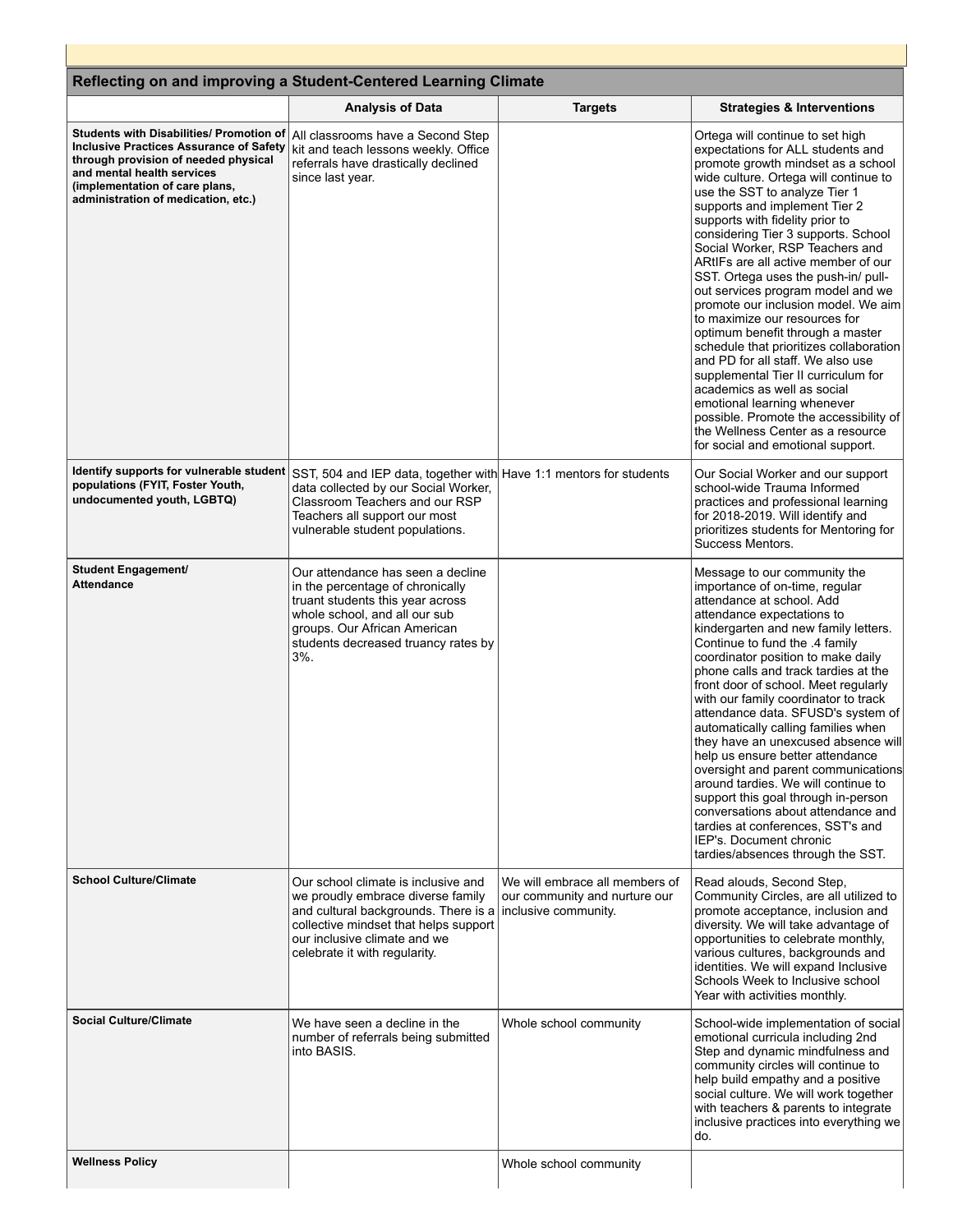| Reflecting on and improving a Student-Centered Learning Climate                                                                                                                                                                           |                                                                                                                                                                                                                             |                                                                                         |                                                                                                                                                                                                                                                                                                                                                                                                                                                                                                                                                                                                                                                                                                                                                                                                                                                                                                                      |
|-------------------------------------------------------------------------------------------------------------------------------------------------------------------------------------------------------------------------------------------|-----------------------------------------------------------------------------------------------------------------------------------------------------------------------------------------------------------------------------|-----------------------------------------------------------------------------------------|----------------------------------------------------------------------------------------------------------------------------------------------------------------------------------------------------------------------------------------------------------------------------------------------------------------------------------------------------------------------------------------------------------------------------------------------------------------------------------------------------------------------------------------------------------------------------------------------------------------------------------------------------------------------------------------------------------------------------------------------------------------------------------------------------------------------------------------------------------------------------------------------------------------------|
| Students with Disabilities/ Promotion of<br><b>Inclusive Practices Assurance of Safety</b><br>through provision of needed physical<br>and mental health services<br>(implementation of care plans,<br>administration of medication, etc.) | <b>Analysis of Data</b><br>All classrooms have a Second Step<br>kit and teach lessons weekly. Office<br>referrals have drastically declined<br>since last year.                                                             | <b>Targets</b>                                                                          | <b>Strategies &amp; Interventions</b><br>Ortega will continue to set high<br>expectations for ALL students and<br>promote growth mindset as a school<br>wide culture. Ortega will continue to<br>use the SST to analyze Tier 1<br>supports and implement Tier 2<br>supports with fidelity prior to<br>considering Tier 3 supports. School<br>Social Worker, RSP Teachers and<br>ARtIFs are all active member of our<br>SST. Ortega uses the push-in/ pull-<br>out services program model and we<br>promote our inclusion model. We aim<br>to maximize our resources for<br>optimum benefit through a master<br>schedule that prioritizes collaboration<br>and PD for all staff. We also use<br>supplemental Tier II curriculum for<br>academics as well as social<br>emotional learning whenever<br>possible. Promote the accessibility of<br>the Wellness Center as a resource<br>for social and emotional support. |
| Identify supports for vulnerable student<br>populations (FYIT, Foster Youth,<br>undocumented youth, LGBTQ)                                                                                                                                | SST, 504 and IEP data, together with Have 1:1 mentors for students<br>data collected by our Social Worker,<br>Classroom Teachers and our RSP<br>Teachers all support our most<br>vulnerable student populations.            |                                                                                         | Our Social Worker and our support<br>school-wide Trauma Informed<br>practices and professional learning<br>for 2018-2019. Will identify and<br>prioritizes students for Mentoring for<br>Success Mentors.                                                                                                                                                                                                                                                                                                                                                                                                                                                                                                                                                                                                                                                                                                            |
| Student Engagement/<br><b>Attendance</b>                                                                                                                                                                                                  | Our attendance has seen a decline<br>in the percentage of chronically<br>truant students this year across<br>whole school, and all our sub<br>groups. Our African American<br>students decreased truancy rates by<br>$3%$ . |                                                                                         | Message to our community the<br>importance of on-time, regular<br>attendance at school. Add<br>attendance expectations to<br>kindergarten and new family letters.<br>Continue to fund the .4 family<br>coordinator position to make daily<br>phone calls and track tardies at the<br>front door of school. Meet regularly<br>with our family coordinator to track<br>attendance data. SFUSD's system of<br>automatically calling families when<br>they have an unexcused absence will<br>help us ensure better attendance<br>oversight and parent communications<br>around tardies. We will continue to<br>support this goal through in-person<br>conversations about attendance and<br>tardies at conferences. SST's and<br>IEP's. Document chronic<br>tardies/absences through the SST.                                                                                                                            |
| <b>School Culture/Climate</b>                                                                                                                                                                                                             | Our school climate is inclusive and<br>we proudly embrace diverse family<br>and cultural backgrounds. There is a<br>collective mindset that helps support<br>our inclusive climate and we<br>celebrate it with regularity.  | We will embrace all members of<br>our community and nurture our<br>inclusive community. | Read alouds, Second Step,<br>Community Circles, are all utilized to<br>promote acceptance, inclusion and<br>diversity. We will take advantage of<br>opportunities to celebrate monthly,<br>various cultures, backgrounds and<br>identities. We will expand Inclusive<br>Schools Week to Inclusive school<br>Year with activities monthly.                                                                                                                                                                                                                                                                                                                                                                                                                                                                                                                                                                            |
| <b>Social Culture/Climate</b>                                                                                                                                                                                                             | We have seen a decline in the<br>number of referrals being submitted<br>into BASIS.                                                                                                                                         | Whole school community                                                                  | School-wide implementation of social<br>emotional curricula including 2nd<br>Step and dynamic mindfulness and<br>community circles will continue to<br>help build empathy and a positive<br>social culture. We will work together<br>with teachers & parents to integrate<br>inclusive practices into everything we<br>do.                                                                                                                                                                                                                                                                                                                                                                                                                                                                                                                                                                                           |
| <b>Wellness Policy</b>                                                                                                                                                                                                                    |                                                                                                                                                                                                                             | Whole school community                                                                  |                                                                                                                                                                                                                                                                                                                                                                                                                                                                                                                                                                                                                                                                                                                                                                                                                                                                                                                      |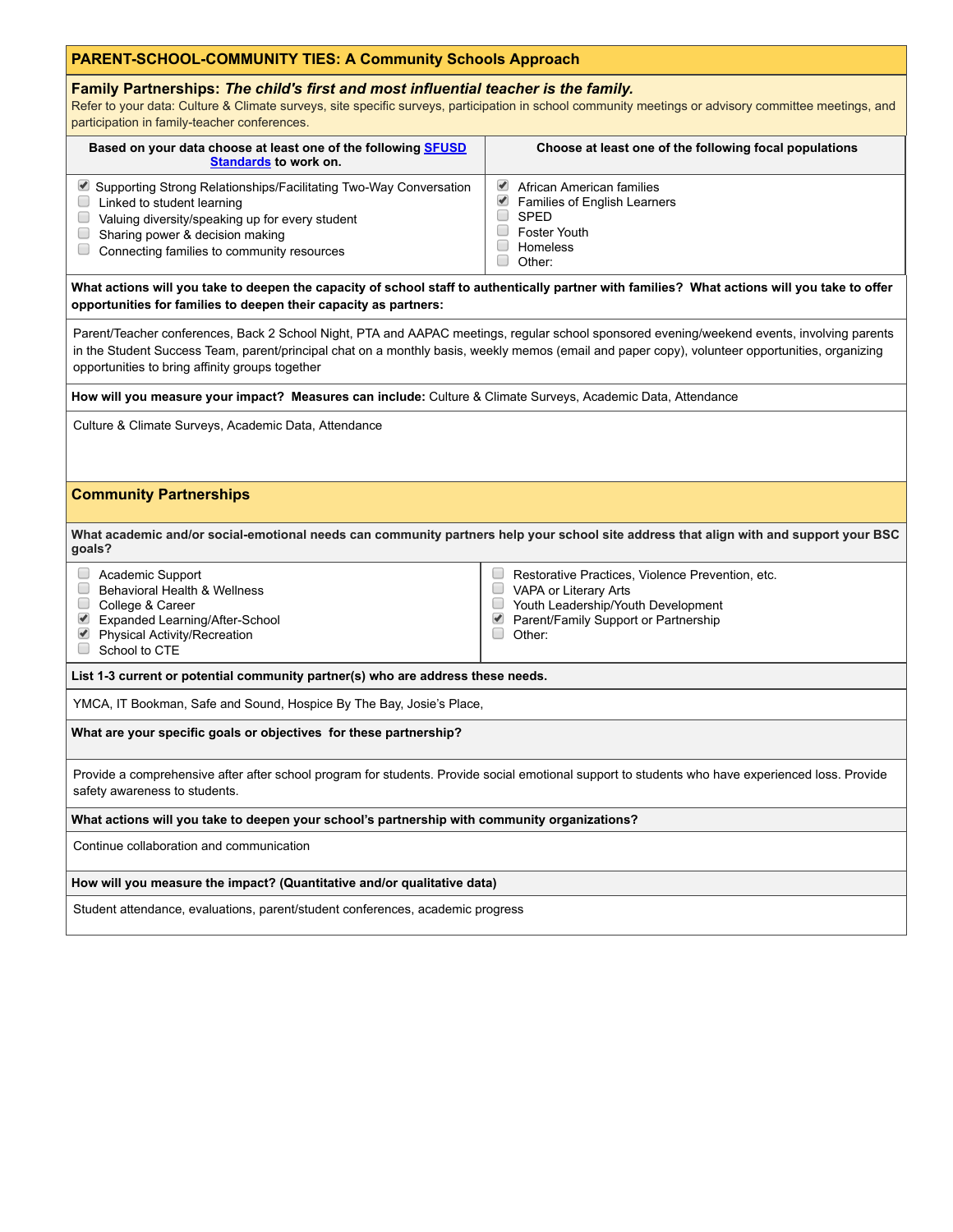# **PARENT-SCHOOL-COMMUNITY TIES: A Community Schools Approach**

# **Family Partnerships:** *The child's first and most influential teacher is the family.*

Refer to your data: Culture & Climate surveys, site specific surveys, participation in school community meetings or advisory committee meetings, and participation in family-teacher conferences.

| Based on your data choose at least one of the following <b>SFUSD</b><br><b>Standards to work on.</b>                                                                                                                                  | Choose at least one of the following focal populations                                                                       |
|---------------------------------------------------------------------------------------------------------------------------------------------------------------------------------------------------------------------------------------|------------------------------------------------------------------------------------------------------------------------------|
| ■ Supporting Strong Relationships/Facilitating Two-Way Conversation<br>Linked to student learning<br>Valuing diversity/speaking up for every student<br>Sharing power & decision making<br>Connecting families to community resources | African American families<br><b>Families of English Learners</b><br><b>SPED</b><br>Foster Youth<br><b>Homeless</b><br>Other: |

# What actions will you take to deepen the capacity of school staff to authentically partner with families? What actions will you take to offer **opportunities for families to deepen their capacity as partners:**

Parent/Teacher conferences, Back 2 School Night, PTA and AAPAC meetings, regular school sponsored evening/weekend events, involving parents in the Student Success Team, parent/principal chat on a monthly basis, weekly memos (email and paper copy), volunteer opportunities, organizing opportunities to bring affinity groups together

**How will you measure your impact? Measures can include:** Culture & Climate Surveys, Academic Data, Attendance

Culture & Climate Surveys, Academic Data, Attendance

# **Community Partnerships**

What academic and/or social-emotional needs can community partners help your school site address that align with and support your BSC **goals?**

 $\Box$ 

### Academic Support

- Behavioral Health & Wellness
- College & Career
- Expanded Learning/After-School Physical Activity/Recreation
- Restorative Practices, Violence Prevention, etc. **NAPA or Literary Arts**
- Youth Leadership/Youth Development ■ Parent/Family Support or Partnership
- Other:

School to CTE

### **List 1-3 current or potential community partner(s) who are address these needs.**

YMCA, IT Bookman, Safe and Sound, Hospice By The Bay, Josie's Place,

### **What are your specific goals or objectives for these partnership?**

Provide a comprehensive after after school program for students. Provide social emotional support to students who have experienced loss. Provide safety awareness to students.

### **What actions will you take to deepen your school's partnership with community organizations?**

Continue collaboration and communication

### **How will you measure the impact? (Quantitative and/or qualitative data)**

Student attendance, evaluations, parent/student conferences, academic progress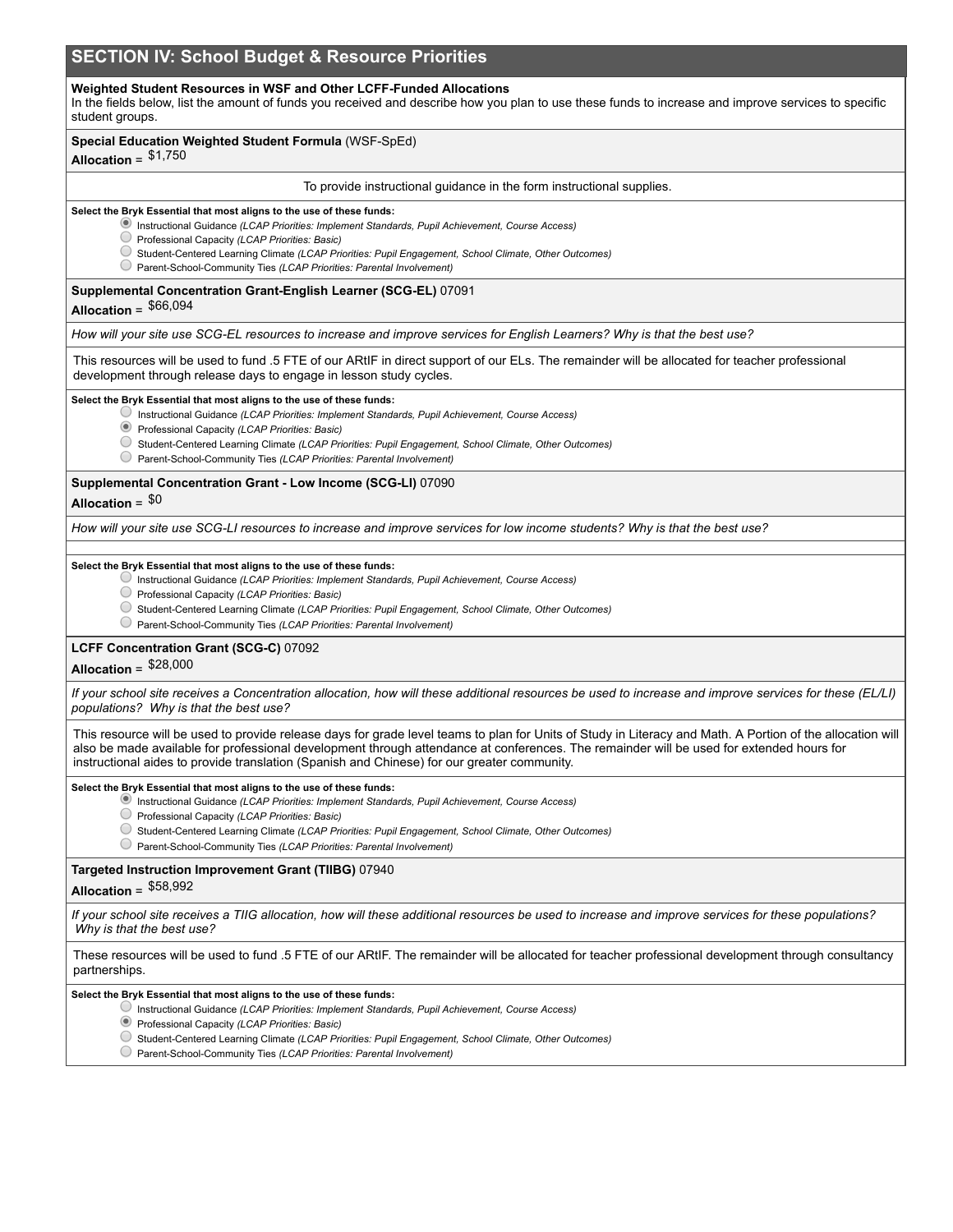# **SECTION IV: School Budget & Resource Priorities**

### **Weighted Student Resources in WSF and Other LCFF-Funded Allocations**

In the fields below, list the amount of funds you received and describe how you plan to use these funds to increase and improve services to specific student groups.

### **Special Education Weighted Student Formula** (WSF-SpEd)

# **Allocation** = \$1,750

#### To provide instructional guidance in the form instructional supplies.

#### **Select the Bryk Essential that most aligns to the use of these funds:**

- Instructional Guidance *(LCAP Priorities: Implement Standards, Pupil Achievement, Course Access)*
- Professional Capacity *(LCAP Priorities: Basic)*
- Student-Centered Learning Climate *(LCAP Priorities: Pupil Engagement, School Climate, Other Outcomes)*
- Parent-School-Community Ties *(LCAP Priorities: Parental Involvement)*

# **Supplemental Concentration Grant-English Learner (SCG-EL)** 07091

# **Allocation** = \$66,094

How will your site use SCG-EL resources to increase and improve services for English Learners? Why is that the best use?

This resources will be used to fund .5 FTE of our ARtIF in direct support of our ELs. The remainder will be allocated for teacher professional development through release days to engage in lesson study cycles.

#### **Select the Bryk Essential that most aligns to the use of these funds:**

- Instructional Guidance *(LCAP Priorities: Implement Standards, Pupil Achievement, Course Access)*
- Professional Capacity *(LCAP Priorities: Basic)*
- Student-Centered Learning Climate *(LCAP Priorities: Pupil Engagement, School Climate, Other Outcomes)*
- Parent-School-Community Ties *(LCAP Priorities: Parental Involvement)*

#### **Supplemental Concentration Grant - Low Income (SCG-LI)** 07090

# **Allocation** = \$0

How will your site use SCG-LI resources to increase and improve services for low income students? Why is that the best use?

#### **Select the Bryk Essential that most aligns to the use of these funds:**

- Instructional Guidance *(LCAP Priorities: Implement Standards, Pupil Achievement, Course Access)*
- Professional Capacity *(LCAP Priorities: Basic)*
- Student-Centered Learning Climate *(LCAP Priorities: Pupil Engagement, School Climate, Other Outcomes)*
- Parent-School-Community Ties *(LCAP Priorities: Parental Involvement)*

### **LCFF Concentration Grant (SCG-C)** 07092

# **Allocation** = \$28,000

If your school site receives a Concentration allocation, how will these additional resources be used to increase and improve services for these (EL/LI) *populations? Why is that the best use?*

This resource will be used to provide release days for grade level teams to plan for Units of Study in Literacy and Math. A Portion of the allocation will also be made available for professional development through attendance at conferences. The remainder will be used for extended hours for instructional aides to provide translation (Spanish and Chinese) for our greater community.

#### **Select the Bryk Essential that most aligns to the use of these funds:**

- Instructional Guidance *(LCAP Priorities: Implement Standards, Pupil Achievement, Course Access)*
- Professional Capacity *(LCAP Priorities: Basic)*
- Student-Centered Learning Climate *(LCAP Priorities: Pupil Engagement, School Climate, Other Outcomes)*
- Parent-School-Community Ties *(LCAP Priorities: Parental Involvement)*

### **Targeted Instruction Improvement Grant (TIIBG)** 07940

# **Allocation** = \$58,992

If your school site receives a TIIG allocation, how will these additional resources be used to increase and improve services for these populations? *Why is that the best use?*

These resources will be used to fund .5 FTE of our ARtIF. The remainder will be allocated for teacher professional development through consultancy partnerships.

#### **Select the Bryk Essential that most aligns to the use of these funds:**

- Instructional Guidance *(LCAP Priorities: Implement Standards, Pupil Achievement, Course Access)*
- Professional Capacity *(LCAP Priorities: Basic)*
- Student-Centered Learning Climate *(LCAP Priorities: Pupil Engagement, School Climate, Other Outcomes)*
- Parent-School-Community Ties *(LCAP Priorities: Parental Involvement)*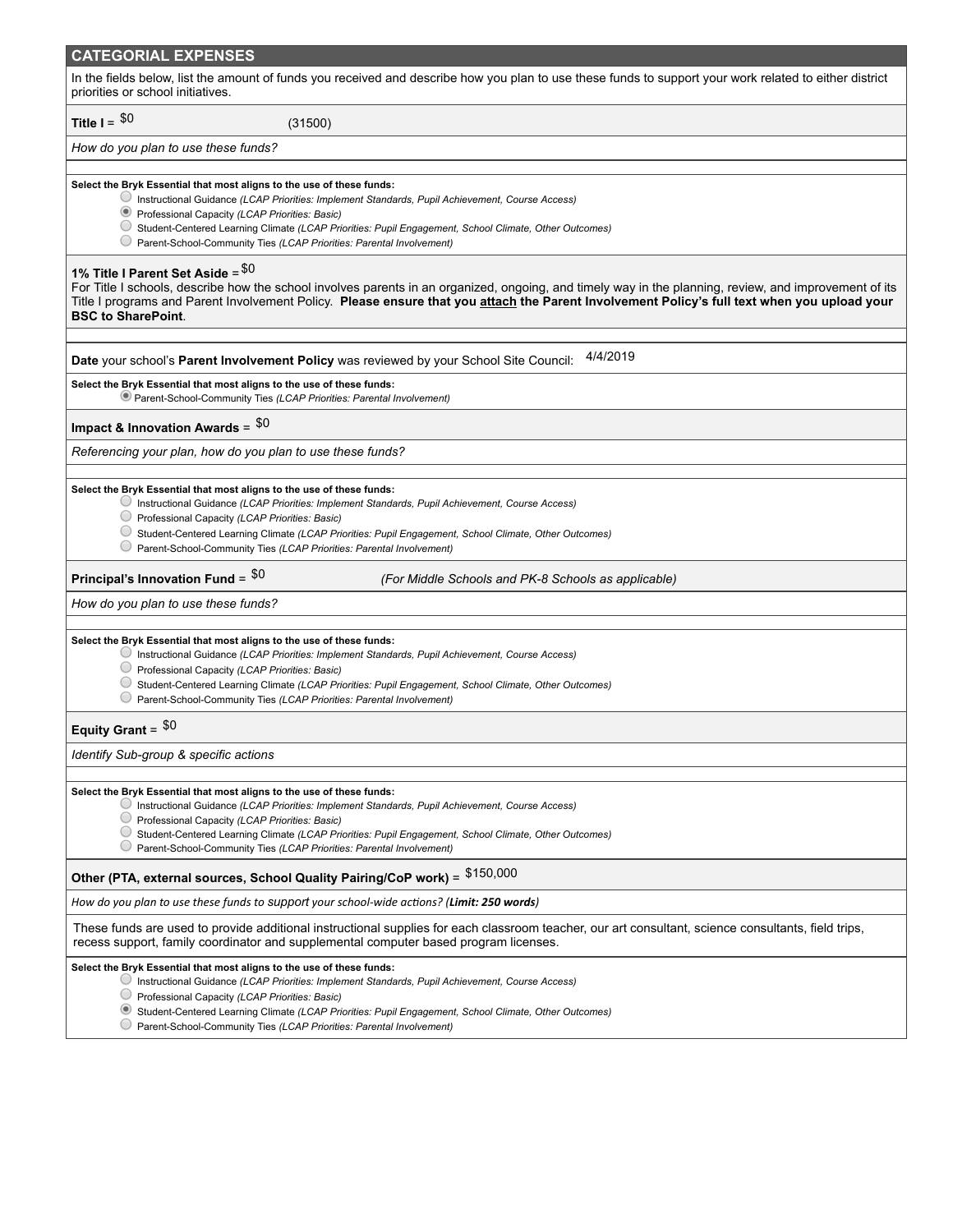# **CATEGORIAL EXPENSES**

In the fields below, list the amount of funds you received and describe how you plan to use these funds to support your work related to either district priorities or school initiatives.

**Title**  $I =$   $$0$ 

*How do you plan to use these funds?*

#### **Select the Bryk Essential that most aligns to the use of these funds:**

Instructional Guidance *(LCAP Priorities: Implement Standards, Pupil Achievement, Course Access)*

 $(31500)$ 

- Professional Capacity *(LCAP Priorities: Basic)*
- Student-Centered Learning Climate *(LCAP Priorities: Pupil Engagement, School Climate, Other Outcomes)*
- Parent-School-Community Ties *(LCAP Priorities: Parental Involvement)*

# **1% Title I Parent Set Aside** = \$0

For Title I schools, describe how the school involves parents in an organized, ongoing, and timely way in the planning, review, and improvement of its Title I programs and Parent Involvement Policy. Please ensure that you attach the Parent Involvement Policy's full text when you upload your **BSC to SharePoint**.

**Date** your school's **Parent Involvement Policy** was reviewed by your School Site Council: 4/4/2019

#### **Select the Bryk Essential that most aligns to the use of these funds:**

Parent-School-Community Ties *(LCAP Priorities: Parental Involvement)*

# **Impact & Innovation Awards** = \$0

*Referencing your plan, how do you plan to use these funds?*

#### **Select the Bryk Essential that most aligns to the use of these funds:**

- Instructional Guidance *(LCAP Priorities: Implement Standards, Pupil Achievement, Course Access)*
- Professional Capacity *(LCAP Priorities: Basic)*
- Student-Centered Learning Climate *(LCAP Priorities: Pupil Engagement, School Climate, Other Outcomes)*
- Parent-School-Community Ties *(LCAP Priorities: Parental Involvement)*

### **Principal's Innovation Fund** =

\$0 *(For Middle Schools and PK-8 Schools as applicable)*

#### *How do you plan to use these funds?*

#### **Select the Bryk Essential that most aligns to the use of these funds:**

- Instructional Guidance *(LCAP Priorities: Implement Standards, Pupil Achievement, Course Access)*
- Professional Capacity *(LCAP Priorities: Basic)*
- Student-Centered Learning Climate *(LCAP Priorities: Pupil Engagement, School Climate, Other Outcomes)*
- Parent-School-Community Ties *(LCAP Priorities: Parental Involvement)*

# **Equity Grant** = \$0

### *Identify Sub-group & specific actions*

#### **Select the Bryk Essential that most aligns to the use of these funds:**

- Instructional Guidance *(LCAP Priorities: Implement Standards, Pupil Achievement, Course Access)*
- Professional Capacity *(LCAP Priorities: Basic)*
- Student-Centered Learning Climate *(LCAP Priorities: Pupil Engagement, School Climate, Other Outcomes)*
- Parent-School-Community Ties *(LCAP Priorities: Parental Involvement)*

# **Other (PTA, external sources, School Quality Pairing/CoP work)** = \$150,000

*How do you plan to use these funds to support your school-wide acons? (Limit: 250 words)*

These funds are used to provide additional instructional supplies for each classroom teacher, our art consultant, science consultants, field trips, recess support, family coordinator and supplemental computer based program licenses.

#### **Select the Bryk Essential that most aligns to the use of these funds:**

- Instructional Guidance *(LCAP Priorities: Implement Standards, Pupil Achievement, Course Access)*
- Professional Capacity *(LCAP Priorities: Basic)*
- Student-Centered Learning Climate *(LCAP Priorities: Pupil Engagement, School Climate, Other Outcomes)*
- Parent-School-Community Ties *(LCAP Priorities: Parental Involvement)*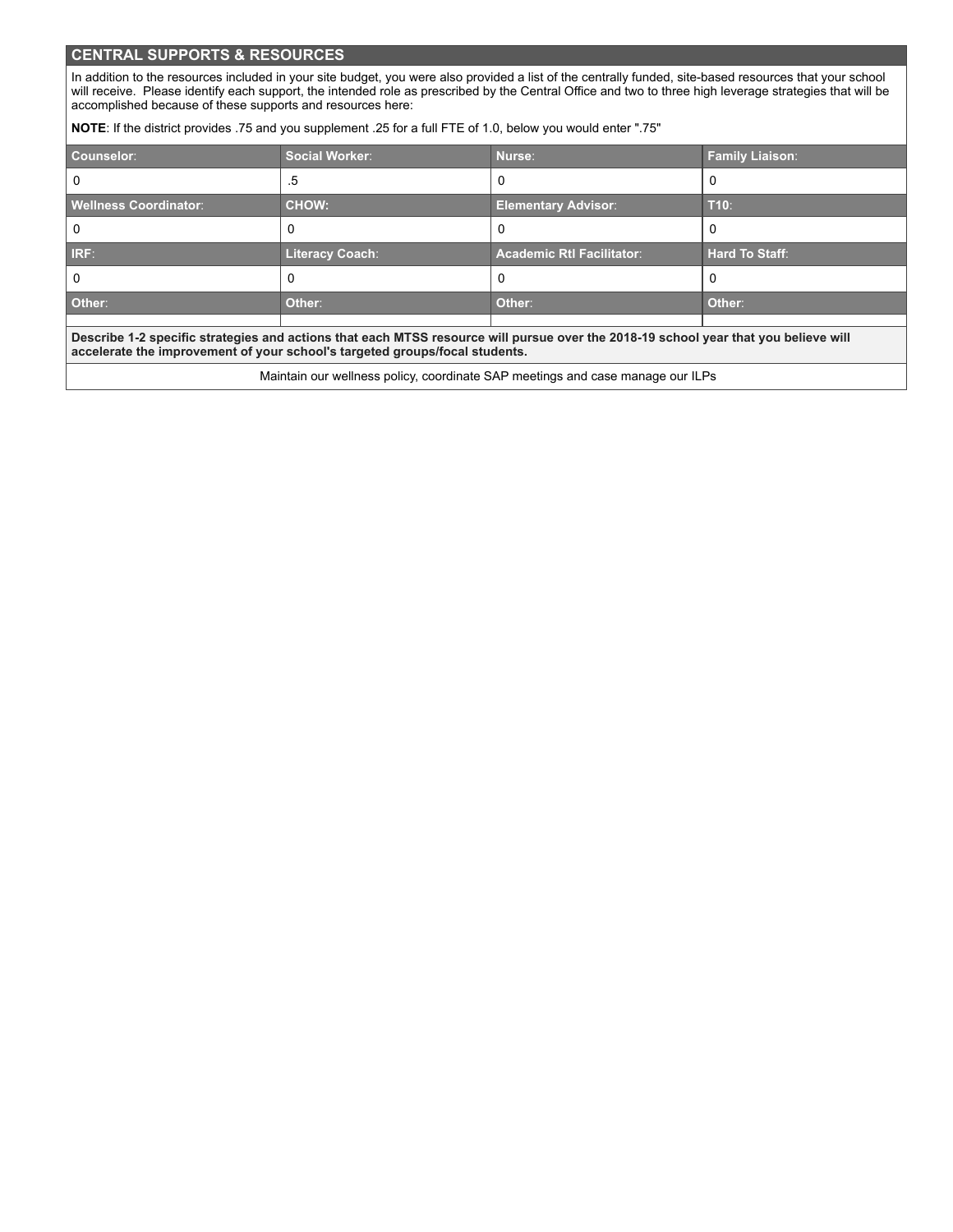# **CENTRAL SUPPORTS & RESOURCES**

In addition to the resources included in your site budget, you were also provided a list of the centrally funded, site-based resources that your school will receive. Please identify each support, the intended role as prescribed by the Central Office and two to three high leverage strategies that will be accomplished because of these supports and resources here:

**NOTE**: If the district provides .75 and you supplement .25 for a full FTE of 1.0, below you would enter ".75"

| Counselor:                                                                                                                                                                                                         | <b>Social Worker:</b>  | Nurse:                           | <b>Family Liaison:</b> |
|--------------------------------------------------------------------------------------------------------------------------------------------------------------------------------------------------------------------|------------------------|----------------------------------|------------------------|
|                                                                                                                                                                                                                    | .5                     | 0                                | υ                      |
| <b>Wellness Coordinator:</b>                                                                                                                                                                                       | <b>CHOW:</b>           | <b>Elementary Advisor:</b>       | $T10$ :                |
|                                                                                                                                                                                                                    |                        | O                                |                        |
| <b>IRF:</b>                                                                                                                                                                                                        | <b>Literacy Coach:</b> | <b>Academic Rtl Facilitator:</b> | <b>Hard To Staff:</b>  |
|                                                                                                                                                                                                                    | υ                      | O                                | υ                      |
| Other:                                                                                                                                                                                                             | Other:                 | Other:                           | Other:                 |
|                                                                                                                                                                                                                    |                        |                                  |                        |
| Describe 1-2 specific strategies and actions that each MTSS resource will pursue over the 2018-19 school year that you believe will<br>accelerate the improvement of your school's targeted groups/focal students. |                        |                                  |                        |

Maintain our wellness policy, coordinate SAP meetings and case manage our ILPs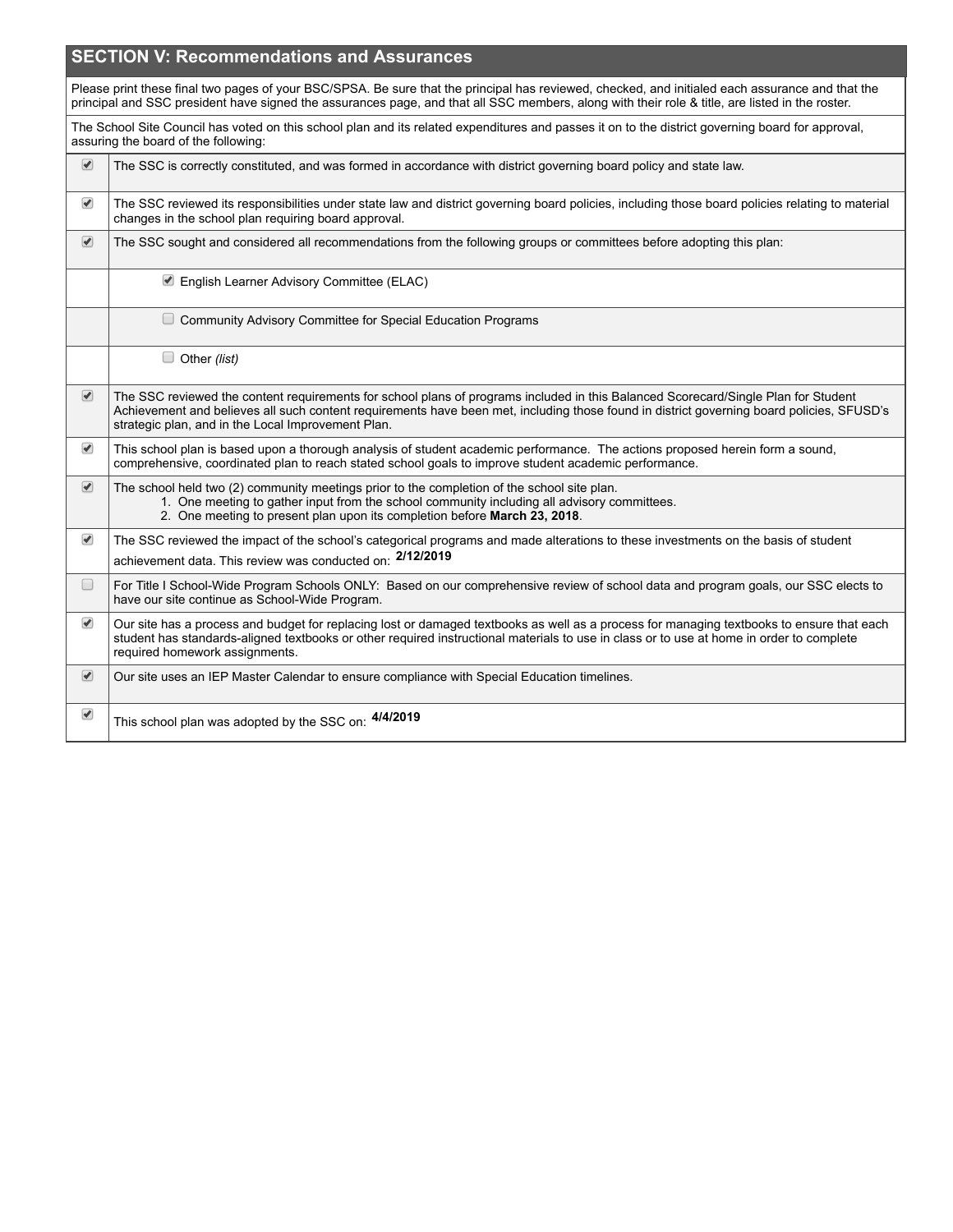|                                 | <b>SECTION V: Recommendations and Assurances</b>                                                                                                                                                                                                                                                                                      |
|---------------------------------|---------------------------------------------------------------------------------------------------------------------------------------------------------------------------------------------------------------------------------------------------------------------------------------------------------------------------------------|
|                                 | Please print these final two pages of your BSC/SPSA. Be sure that the principal has reviewed, checked, and initialed each assurance and that the<br>principal and SSC president have signed the assurances page, and that all SSC members, along with their role & title, are listed in the roster.                                   |
|                                 | The School Site Council has voted on this school plan and its related expenditures and passes it on to the district governing board for approval,<br>assuring the board of the following:                                                                                                                                             |
| $\blacktriangleright$           | The SSC is correctly constituted, and was formed in accordance with district governing board policy and state law.                                                                                                                                                                                                                    |
| $\blacktriangledown$            | The SSC reviewed its responsibilities under state law and district governing board policies, including those board policies relating to material<br>changes in the school plan requiring board approval.                                                                                                                              |
| $\overline{\blacktriangledown}$ | The SSC sought and considered all recommendations from the following groups or committees before adopting this plan:                                                                                                                                                                                                                  |
|                                 | English Learner Advisory Committee (ELAC)                                                                                                                                                                                                                                                                                             |
|                                 | $\Box$ Community Advisory Committee for Special Education Programs                                                                                                                                                                                                                                                                    |
|                                 | $\Box$ Other (list)                                                                                                                                                                                                                                                                                                                   |
| $\bullet$                       | The SSC reviewed the content requirements for school plans of programs included in this Balanced Scorecard/Single Plan for Student<br>Achievement and believes all such content requirements have been met, including those found in district governing board policies, SFUSD's<br>strategic plan, and in the Local Improvement Plan. |
| $\blacktriangledown$            | This school plan is based upon a thorough analysis of student academic performance. The actions proposed herein form a sound,<br>comprehensive, coordinated plan to reach stated school goals to improve student academic performance.                                                                                                |
| $\bullet$                       | The school held two (2) community meetings prior to the completion of the school site plan.<br>1. One meeting to gather input from the school community including all advisory committees.<br>2. One meeting to present plan upon its completion before March 23, 2018.                                                               |
| $\blacktriangledown$            | The SSC reviewed the impact of the school's categorical programs and made alterations to these investments on the basis of student<br>achievement data. This review was conducted on: 2/12/2019                                                                                                                                       |
| $\Box$                          | For Title I School-Wide Program Schools ONLY: Based on our comprehensive review of school data and program goals, our SSC elects to<br>have our site continue as School-Wide Program.                                                                                                                                                 |
| $\blacktriangledown$            | Our site has a process and budget for replacing lost or damaged textbooks as well as a process for managing textbooks to ensure that each<br>student has standards-aligned textbooks or other required instructional materials to use in class or to use at home in order to complete<br>required homework assignments.               |
| $\bullet$                       | Our site uses an IEP Master Calendar to ensure compliance with Special Education timelines.                                                                                                                                                                                                                                           |
| $\blacktriangleright$           | This school plan was adopted by the SSC on: 4/4/2019                                                                                                                                                                                                                                                                                  |